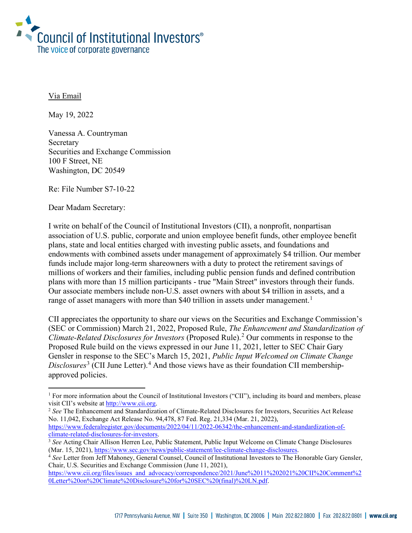

Via Email

May 19, 2022

Vanessa A. Countryman Secretary Securities and Exchange Commission 100 F Street, NE Washington, DC 20549

Re: File Number S7-10-22

Dear Madam Secretary:

I write on behalf of the Council of Institutional Investors (CII), a nonprofit, nonpartisan association of U.S. public, corporate and union employee benefit funds, other employee benefit plans, state and local entities charged with investing public assets, and foundations and endowments with combined assets under management of approximately \$4 trillion. Our member funds include major long-term shareowners with a duty to protect the retirement savings of millions of workers and their families, including public pension funds and defined contribution plans with more than 15 million participants - true "Main Street" investors through their funds. Our associate members include non-U.S. asset owners with about \$4 trillion in assets, and a range of asset managers with more than \$40 trillion in assets under management.<sup>[1](#page-0-0)</sup>

CII appreciates the opportunity to share our views on the Securities and Exchange Commission's (SEC or Commission) March 21, 2022, Proposed Rule, *The Enhancement and Standardization of Climate-Related Disclosures for Investors* (Proposed Rule). [2](#page-0-1) Our comments in response to the Proposed Rule build on the views expressed in our June 11, 2021, letter to SEC Chair Gary Gensler in response to the SEC's March 15, 2021, *Public Input Welcomed on Climate Change*  Disclosures<sup>[3](#page-0-2)</sup> (CII June Letter).<sup>[4](#page-0-3)</sup> And those views have as their foundation CII membershipapproved policies.

<span id="page-0-1"></span><sup>2</sup> See The Enhancement and Standardization of Climate-Related Disclosures for Investors, Securities Act Release No. 11,042, Exchange Act Release No. 94,478, 87 Fed. Reg. 21,334 (Mar. 21, 2022), https://www.federalregister.gov/documents/2022/04/11/2022-06342/the-enhancement-and-standardization-of-<br>climate-related-disclosures-for-investors.

<span id="page-0-0"></span><sup>&</sup>lt;sup>1</sup> For more information about the Council of Institutional Investors ("CII"), including its board and members, please visit CII's website at [http://www.cii.org.](http://www.cii.org/)

<span id="page-0-2"></span><sup>&</sup>lt;sup>3</sup> See Acting Chair Allison Herren Lee, Public Statement, Public Input Welcome on Climate Change Disclosures

<span id="page-0-3"></span><sup>(</sup>Mar. 15, 2021), [https://www.sec.gov/news/public-statement/lee-climate-change-disclosures.](https://www.sec.gov/news/public-statement/lee-climate-change-disclosures) 4 *See* Letter from Jeff Mahoney, General Counsel, Council of Institutional Investors to The Honorable Gary Gensler, Chair, U.S. Securities and Exchange Commission (June 11, 2021),

[https://www.cii.org/files/issues\\_and\\_advocacy/correspondence/2021/June%2011%202021%20CII%20Comment%2](https://www.cii.org/files/issues_and_advocacy/correspondence/2021/June%2011%202021%20CII%20Comment%20Letter%20on%20Climate%20Disclosure%20for%20SEC%20(final)%20LN.pdf) [0Letter%20on%20Climate%20Disclosure%20for%20SEC%20\(final\)%20LN.pdf.](https://www.cii.org/files/issues_and_advocacy/correspondence/2021/June%2011%202021%20CII%20Comment%20Letter%20on%20Climate%20Disclosure%20for%20SEC%20(final)%20LN.pdf)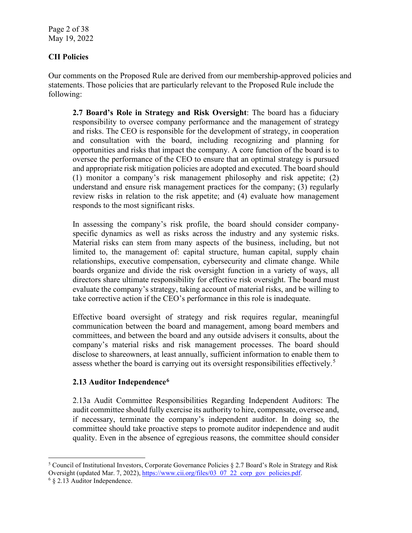Page 2 of 38 May 19, 2022

# **CII Policies**

Our comments on the Proposed Rule are derived from our membership-approved policies and statements. Those policies that are particularly relevant to the Proposed Rule include the following:

**2.7 Board's Role in Strategy and Risk Oversight**: The board has a fiduciary responsibility to oversee company performance and the management of strategy and risks. The CEO is responsible for the development of strategy, in cooperation and consultation with the board, including recognizing and planning for opportunities and risks that impact the company. A core function of the board is to oversee the performance of the CEO to ensure that an optimal strategy is pursued and appropriate risk mitigation policies are adopted and executed. The board should (1) monitor a company's risk management philosophy and risk appetite; (2) understand and ensure risk management practices for the company; (3) regularly review risks in relation to the risk appetite; and (4) evaluate how management responds to the most significant risks.

In assessing the company's risk profile, the board should consider companyspecific dynamics as well as risks across the industry and any systemic risks. Material risks can stem from many aspects of the business, including, but not limited to, the management of: capital structure, human capital, supply chain relationships, executive compensation, cybersecurity and climate change. While boards organize and divide the risk oversight function in a variety of ways, all directors share ultimate responsibility for effective risk oversight. The board must evaluate the company's strategy, taking account of material risks, and be willing to take corrective action if the CEO's performance in this role is inadequate.

Effective board oversight of strategy and risk requires regular, meaningful communication between the board and management, among board members and committees, and between the board and any outside advisers it consults, about the company's material risks and risk management processes. The board should disclose to shareowners, at least annually, sufficient information to enable them to assess whether the board is carrying out its oversight responsibilities effectively.<sup>[5](#page-1-0)</sup>

# **2.13 Auditor Independence[6](#page-1-1)**

2.13a Audit Committee Responsibilities Regarding Independent Auditors: The audit committee should fully exercise its authority to hire, compensate, oversee and, if necessary, terminate the company's independent auditor. In doing so, the committee should take proactive steps to promote auditor independence and audit quality. Even in the absence of egregious reasons, the committee should consider

<span id="page-1-0"></span><sup>&</sup>lt;sup>5</sup> Council of Institutional Investors, Corporate Governance Policies  $\S 2.7$  Board's Role in Strategy and Risk Oversight (updated Mar. 7, 2022)[, https://www.cii.org/files/03\\_07\\_22\\_corp\\_gov\\_policies.pdf.](https://www.cii.org/files/03_07_22_corp_gov_policies.pdf)

<span id="page-1-1"></span><sup>6</sup> § 2.13 Auditor Independence.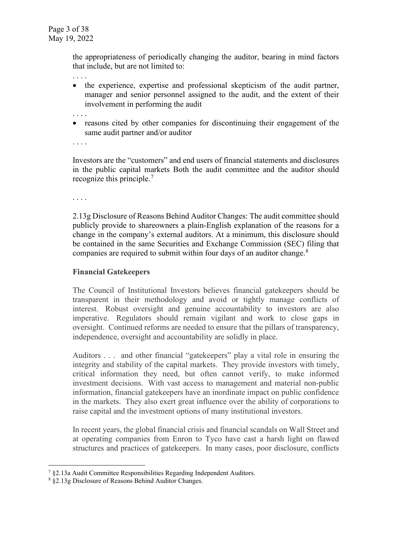the appropriateness of periodically changing the auditor, bearing in mind factors that include, but are not limited to:

- . . . . • the experience, expertise and professional skepticism of the audit partner, manager and senior personnel assigned to the audit, and the extent of their involvement in performing the audit
- . . . .
- reasons cited by other companies for discontinuing their engagement of the same audit partner and/or auditor
- . . . .

Investors are the "customers" and end users of financial statements and disclosures in the public capital markets Both the audit committee and the auditor should recognize this principle.<sup>[7](#page-2-0)</sup>

. . . .

2.13g Disclosure of Reasons Behind Auditor Changes: The audit committee should publicly provide to shareowners a plain-English explanation of the reasons for a change in the company's external auditors. At a minimum, this disclosure should be contained in the same Securities and Exchange Commission (SEC) filing that companies are required to submit within four days of an auditor change.<sup>[8](#page-2-1)</sup>

# **Financial Gatekeepers**

The Council of Institutional Investors believes financial gatekeepers should be transparent in their methodology and avoid or tightly manage conflicts of interest. Robust oversight and genuine accountability to investors are also imperative. Regulators should remain vigilant and work to close gaps in oversight. Continued reforms are needed to ensure that the pillars of transparency, independence, oversight and accountability are solidly in place.

Auditors . . . and other financial "gatekeepers" play a vital role in ensuring the integrity and stability of the capital markets. They provide investors with timely, critical information they need, but often cannot verify, to make informed investment decisions. With vast access to management and material non-public information, financial gatekeepers have an inordinate impact on public confidence in the markets. They also exert great influence over the ability of corporations to raise capital and the investment options of many institutional investors.

In recent years, the global financial crisis and financial scandals on Wall Street and at operating companies from Enron to Tyco have cast a harsh light on flawed structures and practices of gatekeepers. In many cases, poor disclosure, conflicts

<span id="page-2-0"></span> $7 \text{ }$  §2.13a Audit Committee Responsibilities Regarding Independent Auditors.

<span id="page-2-1"></span><sup>8</sup> §2.13g Disclosure of Reasons Behind Auditor Changes.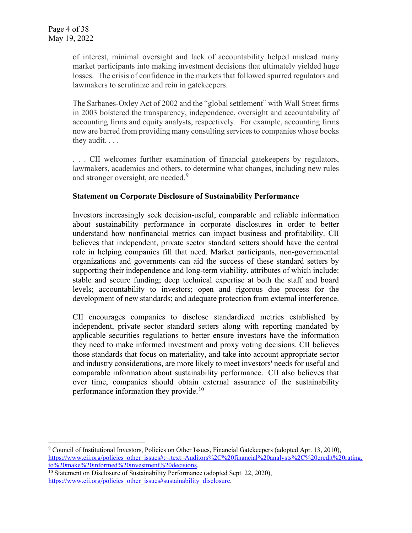of interest, minimal oversight and lack of accountability helped mislead many market participants into making investment decisions that ultimately yielded huge losses. The crisis of confidence in the markets that followed spurred regulators and lawmakers to scrutinize and rein in gatekeepers.

The Sarbanes-Oxley Act of 2002 and the "global settlement" with Wall Street firms in 2003 bolstered the transparency, independence, oversight and accountability of accounting firms and equity analysts, respectively. For example, accounting firms now are barred from providing many consulting services to companies whose books they audit. . . .

. . . CII welcomes further examination of financial gatekeepers by regulators, lawmakers, academics and others, to determine what changes, including new rules and stronger oversight, are needed.<sup>[9](#page-3-0)</sup>

#### **Statement on Corporate Disclosure of Sustainability Performance**

Investors increasingly seek decision-useful, comparable and reliable information about sustainability performance in corporate disclosures in order to better understand how nonfinancial metrics can impact business and profitability. CII believes that independent, private sector standard setters should have the central role in helping companies fill that need. Market participants, non-governmental organizations and governments can aid the success of these standard setters by supporting their independence and long-term viability, attributes of which include: stable and secure funding; deep technical expertise at both the staff and board levels; accountability to investors; open and rigorous due process for the development of new standards; and adequate protection from external interference.

CII encourages companies to disclose standardized metrics established by independent, private sector standard setters along with reporting mandated by applicable securities regulations to better ensure investors have the information they need to make informed investment and proxy voting decisions. CII believes those standards that focus on materiality, and take into account appropriate sector and industry considerations, are more likely to meet investors' needs for useful and comparable information about sustainability performance. CII also believes that over time, companies should obtain external assurance of the sustainability performance information they provide.<sup>[10](#page-3-1)</sup>

<span id="page-3-0"></span><sup>9</sup> Council of Institutional Investors, Policies on Other Issues, Financial Gatekeepers (adopted Apr. 13, 2010), [https://www.cii.org/policies\\_other\\_issues#:~:text=Auditors%2C%20financial%20analysts%2C%20credit%20rating,](https://www.cii.org/policies_other_issues#:%7E:text=Auditors%2C%20financial%20analysts%2C%20credit%20rating,to%20make%20informed%20investment%20decisions)<br>to%20make%20informed%20investment%20decisions.

<span id="page-3-1"></span> $10$  Statement on Disclosure of Sustainability Performance (adopted Sept. 22, 2020), [https://www.cii.org/policies\\_other\\_issues#sustainability\\_disclosure.](https://www.cii.org/policies_other_issues#sustainability_disclosure)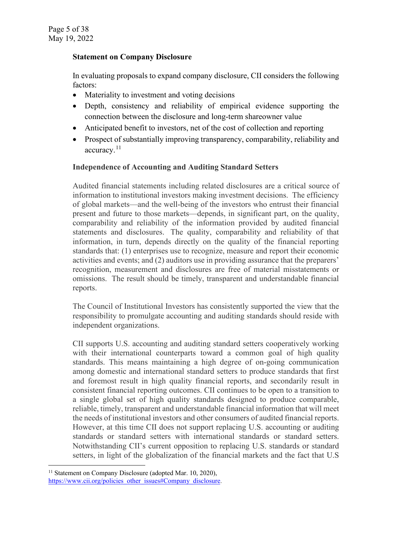#### **Statement on Company Disclosure**

In evaluating proposals to expand company disclosure, CII considers the following factors:

- Materiality to investment and voting decisions
- Depth, consistency and reliability of empirical evidence supporting the connection between the disclosure and long-term shareowner value
- Anticipated benefit to investors, net of the cost of collection and reporting
- Prospect of substantially improving transparency, comparability, reliability and accuracy.<sup>[11](#page-4-0)</sup>

# **Independence of Accounting and Auditing Standard Setters**

Audited financial statements including related disclosures are a critical source of information to institutional investors making investment decisions. The efficiency of global markets—and the well-being of the investors who entrust their financial present and future to those markets—depends, in significant part, on the quality, comparability and reliability of the information provided by audited financial statements and disclosures. The quality, comparability and reliability of that information, in turn, depends directly on the quality of the financial reporting standards that: (1) enterprises use to recognize, measure and report their economic activities and events; and (2) auditors use in providing assurance that the preparers' recognition, measurement and disclosures are free of material misstatements or omissions. The result should be timely, transparent and understandable financial reports.

The Council of Institutional Investors has consistently supported the view that the responsibility to promulgate accounting and auditing standards should reside with independent organizations.

CII supports U.S. accounting and auditing standard setters cooperatively working with their international counterparts toward a common goal of high quality standards. This means maintaining a high degree of on-going communication among domestic and international standard setters to produce standards that first and foremost result in high quality financial reports, and secondarily result in consistent financial reporting outcomes. CII continues to be open to a transition to a single global set of high quality standards designed to produce comparable, reliable, timely, transparent and understandable financial information that will meet the needs of institutional investors and other consumers of audited financial reports. However, at this time CII does not support replacing U.S. accounting or auditing standards or standard setters with international standards or standard setters. Notwithstanding CII's current opposition to replacing U.S. standards or standard setters, in light of the globalization of the financial markets and the fact that U.S

<span id="page-4-0"></span><sup>&</sup>lt;sup>11</sup> Statement on Company Disclosure (adopted Mar. 10, 2020), [https://www.cii.org/policies\\_other\\_issues#Company\\_disclosure.](https://www.cii.org/policies_other_issues#Company_disclosure)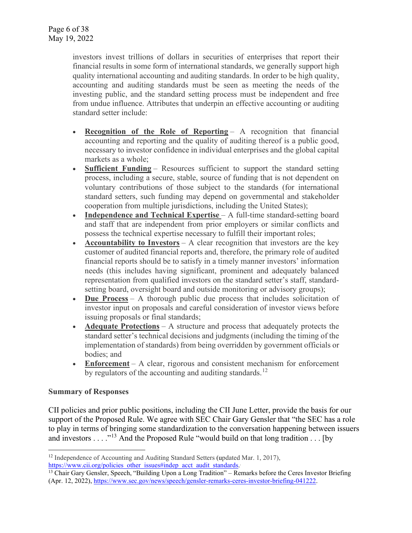investors invest trillions of dollars in securities of enterprises that report their financial results in some form of international standards, we generally support high quality international accounting and auditing standards. In order to be high quality, accounting and auditing standards must be seen as meeting the needs of the investing public, and the standard setting process must be independent and free from undue influence. Attributes that underpin an effective accounting or auditing standard setter include:

- **Recognition of the Role of Reporting** A recognition that financial accounting and reporting and the quality of auditing thereof is a public good, necessary to investor confidence in individual enterprises and the global capital markets as a whole;
- **Sufficient Funding** Resources sufficient to support the standard setting process, including a secure, stable, source of funding that is not dependent on voluntary contributions of those subject to the standards (for international standard setters, such funding may depend on governmental and stakeholder cooperation from multiple jurisdictions, including the United States);
- **Independence and Technical Expertise** A full-time standard-setting board and staff that are independent from prior employers or similar conflicts and possess the technical expertise necessary to fulfill their important roles;
- **Accountability to Investors** A clear recognition that investors are the key customer of audited financial reports and, therefore, the primary role of audited financial reports should be to satisfy in a timely manner investors' information needs (this includes having significant, prominent and adequately balanced representation from qualified investors on the standard setter's staff, standardsetting board, oversight board and outside monitoring or advisory groups);
- **Due Process** A thorough public due process that includes solicitation of investor input on proposals and careful consideration of investor views before issuing proposals or final standards;
- **Adequate Protections** A structure and process that adequately protects the standard setter's technical decisions and judgments (including the timing of the implementation of standards) from being overridden by government officials or bodies; and
- **Enforcement** A clear, rigorous and consistent mechanism for enforcement by regulators of the accounting and auditing standards.<sup>[12](#page-5-0)</sup>

# **Summary of Responses**

CII policies and prior public positions, including the CII June Letter, provide the basis for our support of the Proposed Rule. We agree with SEC Chair Gary Gensler that "the SEC has a role to play in terms of bringing some standardization to the conversation happening between issuers and investors . . . ."<sup>[13](#page-5-1)</sup> And the Proposed Rule "would build on that long tradition . . . [by

<span id="page-5-0"></span><sup>&</sup>lt;sup>12</sup> Independence of Accounting and Auditing Standard Setters (updated Mar. 1, 2017), [https://www.cii.org/policies\\_other\\_issues#indep\\_acct\\_audit\\_standards.](https://www.cii.org/policies_other_issues#indep_acct_audit_standards)

<span id="page-5-1"></span><sup>&</sup>lt;sup>13</sup> Chair Gary Gensler, Speech, "Building Upon a Long Tradition" – Remarks before the Ceres Investor Briefing (Apr. 12, 2022), [https://www.sec.gov/news/speech/gensler-remarks-ceres-investor-briefing-041222.](https://www.sec.gov/news/speech/gensler-remarks-ceres-investor-briefing-041222)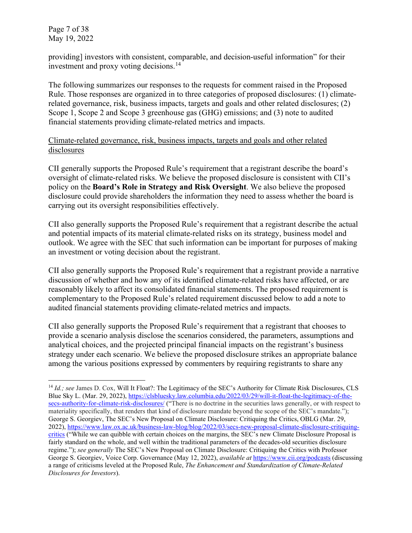Page 7 of 38 May 19, 2022

providing] investors with consistent, comparable, and decision-useful information" for their investment and proxy voting decisions.<sup>[14](#page-6-0)</sup>

The following summarizes our responses to the requests for comment raised in the Proposed Rule. Those responses are organized in to three categories of proposed disclosures: (1) climaterelated governance, risk, business impacts, targets and goals and other related disclosures; (2) Scope 1, Scope 2 and Scope 3 greenhouse gas (GHG) emissions; and (3) note to audited financial statements providing climate-related metrics and impacts.

Climate-related governance, risk, business impacts, targets and goals and other related disclosures

CII generally supports the Proposed Rule's requirement that a registrant describe the board's oversight of climate-related risks. We believe the proposed disclosure is consistent with CII's policy on the **Board's Role in Strategy and Risk Oversight**. We also believe the proposed disclosure could provide shareholders the information they need to assess whether the board is carrying out its oversight responsibilities effectively.

CII also generally supports the Proposed Rule's requirement that a registrant describe the actual and potential impacts of its material climate-related risks on its strategy, business model and outlook. We agree with the SEC that such information can be important for purposes of making an investment or voting decision about the registrant.

CII also generally supports the Proposed Rule's requirement that a registrant provide a narrative discussion of whether and how any of its identified climate-related risks have affected, or are reasonably likely to affect its consolidated financial statements. The proposed requirement is complementary to the Proposed Rule's related requirement discussed below to add a note to audited financial statements providing climate-related metrics and impacts.

CII also generally supports the Proposed Rule's requirement that a registrant that chooses to provide a scenario analysis disclose the scenarios considered, the parameters, assumptions and analytical choices, and the projected principal financial impacts on the registrant's business strategy under each scenario. We believe the proposed disclosure strikes an appropriate balance among the various positions expressed by commenters by requiring registrants to share any

<span id="page-6-0"></span><sup>&</sup>lt;sup>14</sup> *Id.; see* James D. Cox, Will It Float?: The Legitimacy of the SEC's Authority for Climate Risk Disclosures, CLS Blue Sky L. (Mar. 29, 2022), [https://clsbluesky.law.columbia.edu/2022/03/29/will-it-float-the-legitimacy-of-the](https://clsbluesky.law.columbia.edu/2022/03/29/will-it-float-the-legitimacy-of-the-secs-authority-for-climate-risk-disclosures/)[secs-authority-for-climate-risk-disclosures/](https://clsbluesky.law.columbia.edu/2022/03/29/will-it-float-the-legitimacy-of-the-secs-authority-for-climate-risk-disclosures/) ("There is no doctrine in the securities laws generally, or with respect to materiality specifically, that renders that kind of disclosure mandate beyond the scope of the SEC's mandate."); George S. Georgiev, The SEC's New Proposal on Climate Disclosure: Critiquing the Critics, OBLG (Mar. 29, 2022), [https://www.law.ox.ac.uk/business-law-blog/blog/2022/03/secs-new-proposal-climate-disclosure-critiquing](https://www.law.ox.ac.uk/business-law-blog/blog/2022/03/secs-new-proposal-climate-disclosure-critiquing-critics)[critics](https://www.law.ox.ac.uk/business-law-blog/blog/2022/03/secs-new-proposal-climate-disclosure-critiquing-critics) ("While we can quibble with certain choices on the margins, the SEC's new Climate Disclosure Proposal is fairly standard on the whole, and well within the traditional parameters of the decades-old securities disclosure regime."); *see generally* The SEC's New Proposal on Climate Disclosure: Critiquing the Critics with Professor George S. Georgiev[, Voice Corp. Governance](https://podcasts.apple.com/us/podcast/the-voice-of-corporate-governance/id1433954314) (May 12, 2022), *available at* <https://www.cii.org/podcasts> (discussing a range of criticisms leveled at the Proposed Rule, *The Enhancement and Standardization of Climate-Related Disclosures for Investors*).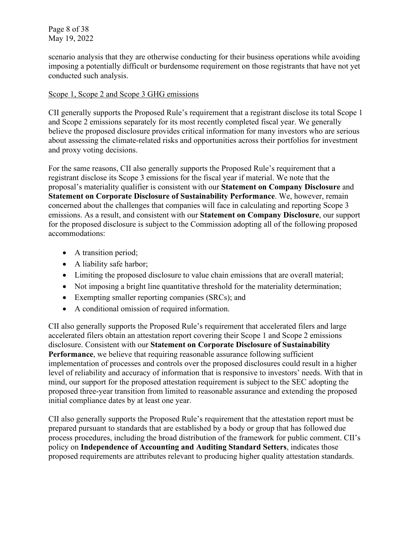Page 8 of 38 May 19, 2022

scenario analysis that they are otherwise conducting for their business operations while avoiding imposing a potentially difficult or burdensome requirement on those registrants that have not yet conducted such analysis.

#### Scope 1, Scope 2 and Scope 3 GHG emissions

CII generally supports the Proposed Rule's requirement that a registrant disclose its total Scope 1 and Scope 2 emissions separately for its most recently completed fiscal year. We generally believe the proposed disclosure provides critical information for many investors who are serious about assessing the climate-related risks and opportunities across their portfolios for investment and proxy voting decisions.

For the same reasons, CII also generally supports the Proposed Rule's requirement that a registrant disclose its Scope 3 emissions for the fiscal year if material. We note that the proposal's materiality qualifier is consistent with our **Statement on Company Disclosure** and **Statement on Corporate Disclosure of Sustainability Performance**. We, however, remain concerned about the challenges that companies will face in calculating and reporting Scope 3 emissions. As a result, and consistent with our **Statement on Company Disclosure**, our support for the proposed disclosure is subject to the Commission adopting all of the following proposed accommodations:

- A transition period;
- A liability safe harbor;
- Limiting the proposed disclosure to value chain emissions that are overall material;
- Not imposing a bright line quantitative threshold for the materiality determination;
- Exempting smaller reporting companies (SRCs); and
- A conditional omission of required information.

CII also generally supports the Proposed Rule's requirement that accelerated filers and large accelerated filers obtain an attestation report covering their Scope 1 and Scope 2 emissions disclosure. Consistent with our **Statement on Corporate Disclosure of Sustainability Performance**, we believe that requiring reasonable assurance following sufficient implementation of processes and controls over the proposed disclosures could result in a higher level of reliability and accuracy of information that is responsive to investors' needs. With that in mind, our support for the proposed attestation requirement is subject to the SEC adopting the proposed three-year transition from limited to reasonable assurance and extending the proposed initial compliance dates by at least one year.

CII also generally supports the Proposed Rule's requirement that the attestation report must be prepared pursuant to standards that are established by a body or group that has followed due process procedures, including the broad distribution of the framework for public comment. CII's policy on **Independence of Accounting and Auditing Standard Setters**, indicates those proposed requirements are attributes relevant to producing higher quality attestation standards.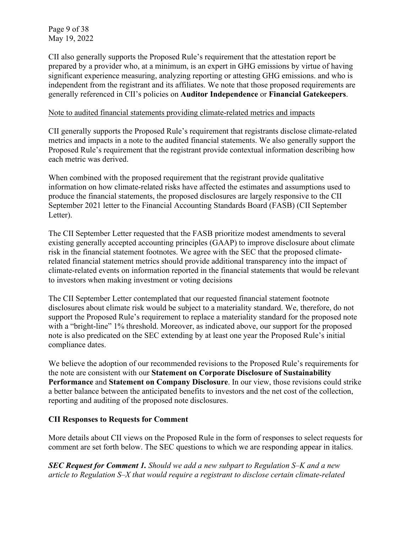Page 9 of 38 May 19, 2022

CII also generally supports the Proposed Rule's requirement that the attestation report be prepared by a provider who, at a minimum, is an expert in GHG emissions by virtue of having significant experience measuring, analyzing reporting or attesting GHG emissions. and who is independent from the registrant and its affiliates. We note that those proposed requirements are generally referenced in CII's policies on **Auditor Independence** or **Financial Gatekeepers**.

#### Note to audited financial statements providing climate-related metrics and impacts

CII generally supports the Proposed Rule's requirement that registrants disclose climate-related metrics and impacts in a note to the audited financial statements. We also generally support the Proposed Rule's requirement that the registrant provide contextual information describing how each metric was derived.

When combined with the proposed requirement that the registrant provide qualitative information on how climate-related risks have affected the estimates and assumptions used to produce the financial statements, the proposed disclosures are largely responsive to the CII September 2021 letter to the Financial Accounting Standards Board (FASB) (CII September Letter).

The CII September Letter requested that the FASB prioritize modest amendments to several existing generally accepted accounting principles (GAAP) to improve disclosure about climate risk in the financial statement footnotes. We agree with the SEC that the proposed climaterelated financial statement metrics should provide additional transparency into the impact of climate-related events on information reported in the financial statements that would be relevant to investors when making investment or voting decisions

The CII September Letter contemplated that our requested financial statement footnote disclosures about climate risk would be subject to a materiality standard. We, therefore, do not support the Proposed Rule's requirement to replace a materiality standard for the proposed note with a "bright-line" 1% threshold. Moreover, as indicated above, our support for the proposed note is also predicated on the SEC extending by at least one year the Proposed Rule's initial compliance dates.

We believe the adoption of our recommended revisions to the Proposed Rule's requirements for the note are consistent with our **Statement on Corporate Disclosure of Sustainability Performance** and **Statement on Company Disclosure**. In our view, those revisions could strike a better balance between the anticipated benefits to investors and the net cost of the collection, reporting and auditing of the proposed note disclosures.

# **CII Responses to Requests for Comment**

More details about CII views on the Proposed Rule in the form of responses to select requests for comment are set forth below. The SEC questions to which we are responding appear in italics.

*SEC Request for Comment 1. Should we add a new subpart to Regulation S–K and a new article to Regulation S–X that would require a registrant to disclose certain climate-related*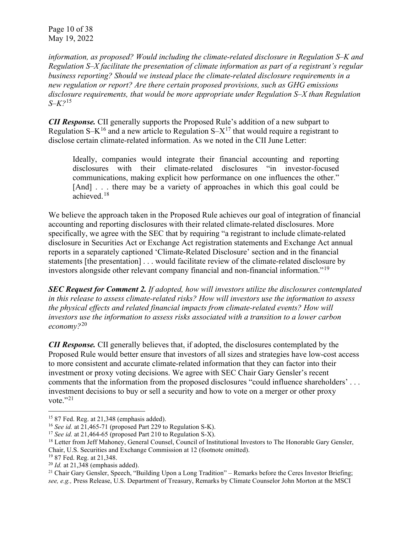Page 10 of 38 May 19, 2022

*information, as proposed? Would including the climate-related disclosure in Regulation S–K and Regulation S–X facilitate the presentation of climate information as part of a registrant's regular business reporting? Should we instead place the climate-related disclosure requirements in a new regulation or report? Are there certain proposed provisions, such as GHG emissions disclosure requirements, that would be more appropriate under Regulation S–X than Regulation S–K?*[15](#page-9-0)

*CII Response.* CII generally supports the Proposed Rule's addition of a new subpart to Regulation S–K<sup>[16](#page-9-1)</sup> and a new article to Regulation S– $X^{17}$  $X^{17}$  $X^{17}$  that would require a registrant to disclose certain climate-related information. As we noted in the CII June Letter:

Ideally, companies would integrate their financial accounting and reporting disclosures with their climate-related disclosures "in investor-focused communications, making explicit how performance on one influences the other." [And] . . . there may be a variety of approaches in which this goal could be achieved.<sup>[18](#page-9-3)</sup>

We believe the approach taken in the Proposed Rule achieves our goal of integration of financial accounting and reporting disclosures with their related climate-related disclosures. More specifically, we agree with the SEC that by requiring "a registrant to include climate-related disclosure in Securities Act or Exchange Act registration statements and Exchange Act annual reports in a separately captioned 'Climate-Related Disclosure' section and in the financial statements [the presentation] . . . would facilitate review of the climate-related disclosure by investors alongside other relevant company financial and non-financial information."[19](#page-9-4)

*SEC Request for Comment 2. If adopted, how will investors utilize the disclosures contemplated in this release to assess climate-related risks? How will investors use the information to assess the physical effects and related financial impacts from climate-related events? How will investors use the information to assess risks associated with a transition to a lower carbon economy?*[20](#page-9-5)

*CII Response.* CII generally believes that, if adopted, the disclosures contemplated by the Proposed Rule would better ensure that investors of all sizes and strategies have low-cost access to more consistent and accurate climate-related information that they can factor into their investment or proxy voting decisions. We agree with SEC Chair Gary Gensler's recent comments that the information from the proposed disclosures "could influence shareholders' . . . investment decisions to buy or sell a security and how to vote on a merger or other proxy vote." $^{21}$ 

<span id="page-9-1"></span><span id="page-9-0"></span><sup>&</sup>lt;sup>15</sup> 87 Fed. Reg. at 21,348 (emphasis added).<br><sup>16</sup> *See id.* at 21,465-71 (proposed Part 229 to Regulation S-K).<br><sup>17</sup> *See id.* at 21,464-65 (proposed Part 210 to Regulation S-X).

<span id="page-9-2"></span>

<span id="page-9-3"></span><sup>&</sup>lt;sup>18</sup> Letter from Jeff Mahoney, General Counsel, Council of Institutional Investors to The Honorable Gary Gensler, Chair, U.S. Securities and Exchange Commission at 12 (footnote omitted). 19 87 Fed. Reg. at 21,348.

<span id="page-9-4"></span>

<span id="page-9-5"></span><sup>20</sup> *Id.* at 21,348 (emphasis added).

<span id="page-9-6"></span><sup>&</sup>lt;sup>21</sup> Chair Gary Gensler, Speech, "Building Upon a Long Tradition" – Remarks before the Ceres Investor Briefing; *see, e.g.,* Press Release, U.S. Department of Treasury, Remarks by Climate Counselor John Morton at the MSCI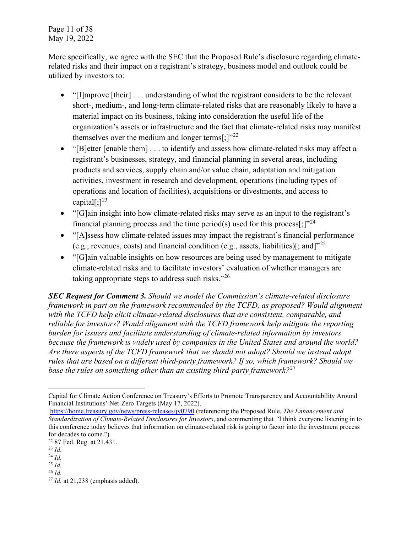Page 11 of 38 May 19, 2022

More specifically, we agree with the SEC that the Proposed Rule's disclosure regarding climaterelated risks and their impact on a registrant's strategy, business model and outlook could be utilized by investors to:

- "[I]mprove [their] ... understanding of what the registrant considers to be the relevant short-, medium-, and long-term climate-related risks that are reasonably likely to have a material impact on its business, taking into consideration the useful life of the organization's assets or infrastructure and the fact that climate-related risks may manifest themselves over the medium and longer terms[;] $v^{22}$  $v^{22}$  $v^{22}$
- "[B]etter [enable them] . . . to identify and assess how climate-related risks may affect a registrant's businesses, strategy, and financial planning in several areas, including products and services, supply chain and/or value chain, adaptation and mitigation activities, investment in research and development, operations (including types of operations and location of facilities), acquisitions or divestments, and access to capital $[$ ; $]^{23}$  $]^{23}$  $]^{23}$
- "[G]ain insight into how climate-related risks may serve as an input to the registrant's financial planning process and the time period(s) used for this process[;] $"^{24}$  $"^{24}$  $"^{24}$
- "[A]ssess how climate-related issues may impact the registrant's financial performance (e.g., revenues, costs) and financial condition (e.g., assets, liabilities)[; and]"[25](#page-10-3)
- "[G]ain valuable insights on how resources are being used by management to mitigate climate-related risks and to facilitate investors' evaluation of whether managers are taking appropriate steps to address such risks."<sup>[26](#page-10-4)</sup>

*SEC Request for Comment 3. Should we model the Commission's climate-related disclosure framework in part on the framework recommended by the TCFD, as proposed? Would alignment with the TCFD help elicit climate-related disclosures that are consistent, comparable, and reliable for investors? Would alignment with the TCFD framework help mitigate the reporting burden for issuers and facilitate understanding of climate-related information by investors because the framework is widely used by companies in the United States and around the world? Are there aspects of the TCFD framework that we should not adopt? Should we instead adopt rules that are based on a different third-party framework? If so, which framework? Should we base the rules on something other than an existing third-party framework?*[27](#page-10-5)

Capital for Climate Action Conference on Treasury's Efforts to Promote Transparency and Accountability Around Financial Institutions' Net-Zero Targets (May 17, 2022),

<https://home.treasury.gov/news/press-releases/jy0790> (referencing the Proposed Rule, *The Enhancement and Standardization of Climate-Related Disclosures for Investors*, and commenting that *"*I think everyone listening in to this conference today believes that information on climate-related risk is going to factor into the investment process for decades to come.").

<span id="page-10-0"></span><sup>22</sup> 87 Fed. Reg. at 21,431.

<span id="page-10-1"></span><sup>23</sup> *Id.*

<span id="page-10-2"></span><sup>24</sup> *Id.*

<span id="page-10-3"></span><sup>25</sup> *Id.* <sup>26</sup> *Id.*

<span id="page-10-5"></span><span id="page-10-4"></span><sup>27</sup> *Id.* at 21,238 (emphasis added).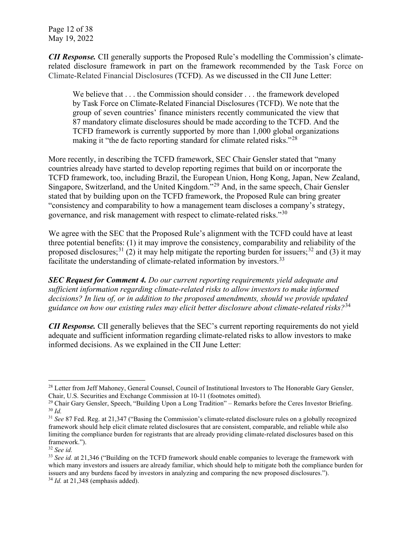Page 12 of 38 May 19, 2022

*CII Response.* CII generally supports the Proposed Rule's modelling the Commission's climaterelated disclosure framework in part on the framework recommended by the Task Force on Climate-Related Financial Disclosures (TCFD). As we discussed in the CII June Letter:

We believe that  $\dots$  the Commission should consider  $\dots$  the framework developed by Task Force on Climate-Related Financial Disclosures (TCFD). We note that the group of seven countries' finance ministers recently communicated the view that 87 mandatory climate disclosures should be made according to the TCFD. And the TCFD framework is currently supported by more than 1,000 global organizations making it "the de facto reporting standard for climate related risks."<sup>[28](#page-11-0)</sup>

More recently, in describing the TCFD framework, SEC Chair Gensler stated that "many countries already have started to develop reporting regimes that build on or incorporate the TCFD framework, too, including Brazil, the European Union, Hong Kong, Japan, New Zealand, Singapore, Switzerland, and the United Kingdom."[29](#page-11-1) And, in the same speech, Chair Gensler stated that by building upon on the TCFD framework, the Proposed Rule can bring greater "consistency and comparability to how a management team discloses a company's strategy, governance, and risk management with respect to climate-related risks."[30](#page-11-2)

We agree with the SEC that the Proposed Rule's alignment with the TCFD could have at least three potential benefits: (1) it may improve the consistency, comparability and reliability of the proposed disclosures;<sup>[31](#page-11-3)</sup> (2) it may help mitigate the reporting burden for issuers;<sup>[32](#page-11-4)</sup> and (3) it may facilitate the understanding of climate-related information by investors.<sup>[33](#page-11-5)</sup>

*SEC Request for Comment 4. Do our current reporting requirements yield adequate and sufficient information regarding climate-related risks to allow investors to make informed decisions? In lieu of, or in addition to the proposed amendments, should we provide updated guidance on how our existing rules may elicit better disclosure about climate-related risks?*[34](#page-11-6)

*CII Response.* CII generally believes that the SEC's current reporting requirements do not yield adequate and sufficient information regarding climate-related risks to allow investors to make informed decisions. As we explained in the CII June Letter:

<span id="page-11-0"></span><sup>&</sup>lt;sup>28</sup> Letter from Jeff Mahoney, General Counsel, Council of Institutional Investors to The Honorable Gary Gensler, Chair, U.S. Securities and Exchange Commission at 10-11 (footnotes omitted).

<span id="page-11-2"></span><span id="page-11-1"></span><sup>&</sup>lt;sup>29</sup> Chair Gary Gensler, Speech, "Building Upon a Long Tradition" – Remarks before the Ceres Investor Briefing. <sup>30</sup> *Id.*

<span id="page-11-3"></span><sup>31</sup> *See* 87 Fed. Reg. at 21,347 ("Basing the Commission's climate-related disclosure rules on a globally recognized framework should help elicit climate related disclosures that are consistent, comparable, and reliable while also limiting the compliance burden for registrants that are already providing climate-related disclosures based on this framework.").

<span id="page-11-4"></span><sup>32</sup> *See id.* 

<span id="page-11-6"></span><span id="page-11-5"></span><sup>33</sup> *See id.* at 21,346 ("Building on the TCFD framework should enable companies to leverage the framework with which many investors and issuers are already familiar, which should help to mitigate both the compliance burden for issuers and any burdens faced by investors in analyzing and comparing the new proposed disclosures."). <sup>34</sup> *Id.* at 21,348 (emphasis added).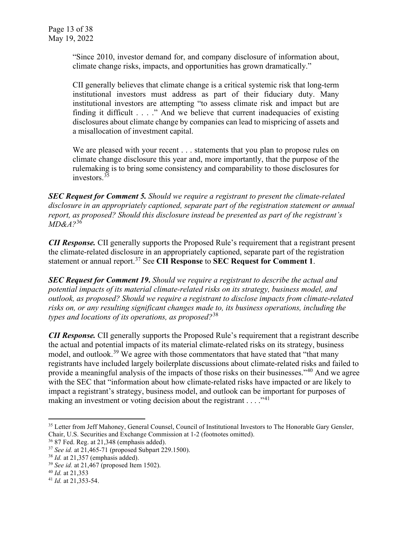"Since 2010, investor demand for, and company disclosure of information about, climate change risks, impacts, and opportunities has grown dramatically."

CII generally believes that climate change is a critical systemic risk that long-term institutional investors must address as part of their fiduciary duty. Many institutional investors are attempting "to assess climate risk and impact but are finding it difficult . . . ." And we believe that current inadequacies of existing disclosures about climate change by companies can lead to mispricing of assets and a misallocation of investment capital.

We are pleased with your recent . . . statements that you plan to propose rules on climate change disclosure this year and, more importantly, that the purpose of the rulemaking is to bring some consistency and comparability to those disclosures for investors.<sup>[35](#page-12-0)</sup>

*SEC Request for Comment 5. Should we require a registrant to present the climate-related disclosure in an appropriately captioned, separate part of the registration statement or annual report, as proposed? Should this disclosure instead be presented as part of the registrant's MD&A?*[36](#page-12-1)

*CII Response.* CII generally supports the Proposed Rule's requirement that a registrant present the climate-related disclosure in an appropriately captioned, separate part of the registration statement or annual report.[37](#page-12-2) See **CII Response** to **SEC Request for Comment 1**.

*SEC Request for Comment 19***.** *Should we require a registrant to describe the actual and potential impacts of its material climate-related risks on its strategy, business model, and outlook, as proposed? Should we require a registrant to disclose impacts from climate-related risks on, or any resulting significant changes made to, its business operations, including the types and locations of its operations, as proposed?*[38](#page-12-3)

*CII Response.* CII generally supports the Proposed Rule's requirement that a registrant describe the actual and potential impacts of its material climate-related risks on its strategy, business model, and outlook.<sup>[39](#page-12-4)</sup> We agree with those commentators that have stated that "that many registrants have included largely boilerplate discussions about climate-related risks and failed to provide a meaningful analysis of the impacts of those risks on their businesses."[40](#page-12-5) And we agree with the SEC that "information about how climate-related risks have impacted or are likely to impact a registrant's strategy, business model, and outlook can be important for purposes of making an investment or voting decision about the registrant  $\dots$  ."<sup>[41](#page-12-6)</sup>

<span id="page-12-0"></span><sup>&</sup>lt;sup>35</sup> Letter from Jeff Mahoney, General Counsel, Council of Institutional Investors to The Honorable Gary Gensler, Chair, U.S. Securities and Exchange Commission at 1-2 (footnotes omitted). 36 87 Fed. Reg. at 21,348 (emphasis added).

<span id="page-12-1"></span>

<span id="page-12-3"></span><span id="page-12-2"></span><sup>&</sup>lt;sup>37</sup> See id. at 21,465-71 (proposed Subpart 229.1500).

<sup>38</sup> *Id.* at 21,357 (emphasis added). 39 *See id.* at 21,467 (proposed Item 1502).

<span id="page-12-5"></span><span id="page-12-4"></span><sup>40</sup> *Id.* at 21,353

<span id="page-12-6"></span><sup>41</sup> *Id.* at 21,353-54.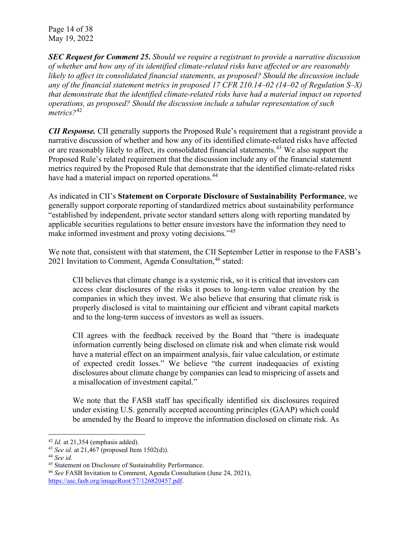Page 14 of 38 May 19, 2022

*SEC Request for Comment 25***.** *Should we require a registrant to provide a narrative discussion of whether and how any of its identified climate-related risks have affected or are reasonably likely to affect its consolidated financial statements, as proposed? Should the discussion include any of the financial statement metrics in proposed 17 CFR 210.14–02 (14–02 of Regulation S–X) that demonstrate that the identified climate-related risks have had a material impact on reported operations, as proposed? Should the discussion include a tabular representation of such metrics?*[42](#page-13-0)

*CII Response.* CII generally supports the Proposed Rule's requirement that a registrant provide a narrative discussion of whether and how any of its identified climate-related risks have affected or are reasonably likely to affect, its consolidated financial statements.<sup>[43](#page-13-1)</sup> We also support the Proposed Rule's related requirement that the discussion include any of the financial statement metrics required by the Proposed Rule that demonstrate that the identified climate-related risks have had a material impact on reported operations.<sup>[44](#page-13-2)</sup>

As indicated in CII's **Statement on Corporate Disclosure of Sustainability Performance**, we generally support corporate reporting of standardized metrics about sustainability performance "established by independent, private sector standard setters along with reporting mandated by applicable securities regulations to better ensure investors have the information they need to make informed investment and proxy voting decisions."<sup>[45](#page-13-3)</sup>

We note that, consistent with that statement, the CII September Letter in response to the FASB's 2021 Invitation to Comment, Agenda Consultation, <sup>[46](#page-13-4)</sup> stated:

CII believes that climate change is a systemic risk, so it is critical that investors can access clear disclosures of the risks it poses to long-term value creation by the companies in which they invest. We also believe that ensuring that climate risk is properly disclosed is vital to maintaining our efficient and vibrant capital markets and to the long-term success of investors as well as issuers.

CII agrees with the feedback received by the Board that "there is inadequate information currently being disclosed on climate risk and when climate risk would have a material effect on an impairment analysis, fair value calculation, or estimate of expected credit losses." We believe "the current inadequacies of existing disclosures about climate change by companies can lead to mispricing of assets and a misallocation of investment capital."

We note that the FASB staff has specifically identified six disclosures required under existing U.S. generally accepted accounting principles (GAAP) which could be amended by the Board to improve the information disclosed on climate risk. As

<span id="page-13-1"></span><span id="page-13-0"></span><sup>42</sup> *Id.* at 21,354 (emphasis added). 43 *See id.* at 21,467 (proposed Item 1502(d)).

<span id="page-13-2"></span><sup>44</sup> *See id.*

<span id="page-13-3"></span><sup>45</sup> Statement on Disclosure of Sustainability Performance.

<span id="page-13-4"></span><sup>46</sup> *See* FASB Invitation to Comment, Agenda Consultation (June 24, 2021), [https://asc.fasb.org/imageRoot/57/126820457.pdf.](https://asc.fasb.org/imageRoot/57/126820457.pdf)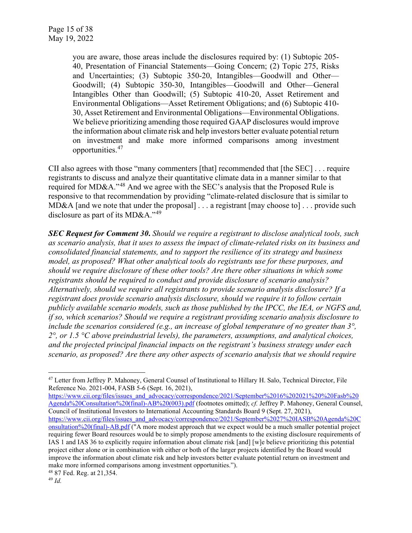you are aware, those areas include the disclosures required by: (1) Subtopic 205- 40, Presentation of Financial Statements—Going Concern; (2) Topic 275, Risks and Uncertainties; (3) Subtopic 350-20, Intangibles—Goodwill and Other— Goodwill; (4) Subtopic 350-30, Intangibles—Goodwill and Other—General Intangibles Other than Goodwill; (5) Subtopic 410-20, Asset Retirement and Environmental Obligations—Asset Retirement Obligations; and (6) Subtopic 410- 30, Asset Retirement and Environmental Obligations—Environmental Obligations. We believe prioritizing amending those required GAAP disclosures would improve the information about climate risk and help investors better evaluate potential return on investment and make more informed comparisons among investment opportunities.[47](#page-14-0)

CII also agrees with those "many commenters [that] recommended that [the SEC] . . . require registrants to discuss and analyze their quantitative climate data in a manner similar to that required for MD&A."[48](#page-14-1) And we agree with the SEC's analysis that the Proposed Rule is responsive to that recommendation by providing "climate-related disclosure that is similar to MD&A [and we note that under the proposal] . . . a registrant [may choose to] . . . provide such disclosure as part of its MD&A."<sup>[49](#page-14-2)</sup>

*SEC Request for Comment 30***.** *Should we require a registrant to disclose analytical tools, such as scenario analysis, that it uses to assess the impact of climate-related risks on its business and consolidated financial statements, and to support the resilience of its strategy and business model, as proposed? What other analytical tools do registrants use for these purposes, and should we require disclosure of these other tools? Are there other situations in which some registrants should be required to conduct and provide disclosure of scenario analysis? Alternatively, should we require all registrants to provide scenario analysis disclosure? If a registrant does provide scenario analysis disclosure, should we require it to follow certain publicly available scenario models, such as those published by the IPCC, the IEA, or NGFS and, if so, which scenarios? Should we require a registrant providing scenario analysis disclosure to include the scenarios considered (e.g., an increase of global temperature of no greater than 3°, 2°, or 1.5 °C above preindustrial levels), the parameters, assumptions, and analytical choices, and the projected principal financial impacts on the registrant's business strategy under each scenario, as proposed? Are there any other aspects of scenario analysis that we should require* 

[https://www.cii.org/files/issues\\_and\\_advocacy/correspondence/2021/September%2016%202021%20%20Fasb%20](https://www.cii.org/files/issues_and_advocacy/correspondence/2021/September%2016%202021%20%20Fasb%20Agenda%20Consultation%20(final)-AB%20(003).pdf) [Agenda%20Consultation%20\(final\)-AB%20\(003\).pdf](https://www.cii.org/files/issues_and_advocacy/correspondence/2021/September%2016%202021%20%20Fasb%20Agenda%20Consultation%20(final)-AB%20(003).pdf) (footnotes omitted); *cf.* Jeffrey P. Mahoney, General Counsel, Council of Institutional Investors to International Accounting Standards Board 9 (Sept. 27, 2021), [https://www.cii.org/files/issues\\_and\\_advocacy/correspondence/2021/September%2027%20IASB%20Agenda%20C](https://www.cii.org/files/issues_and_advocacy/correspondence/2021/September%2027%20IASB%20Agenda%20Consultation%20(final)-AB.pdf) [onsultation%20\(final\)-AB.pdf](https://www.cii.org/files/issues_and_advocacy/correspondence/2021/September%2027%20IASB%20Agenda%20Consultation%20(final)-AB.pdf) ("A more modest approach that we expect would be a much smaller potential project requiring fewer Board resources would be to simply propose amendments to the existing disclosure requirements of IAS 1 and IAS 36 to explicitly require information about climate risk [and] [w]e believe prioritizing this potential project either alone or in combination with either or both of the larger projects identified by the Board would improve the information about climate risk and help investors better evaluate potential return on investment and make more informed comparisons among investment opportunities.").

<span id="page-14-0"></span><sup>&</sup>lt;sup>47</sup> Letter from Jeffrey P. Mahoney, General Counsel of Institutional to Hillary H. Salo, Technical Director, File Reference No. 2021-004, FASB 5-6 (Sept. 16, 2021),

<span id="page-14-1"></span><sup>48</sup> 87 Fed. Reg. at 21,354.

<span id="page-14-2"></span><sup>49</sup> *Id.*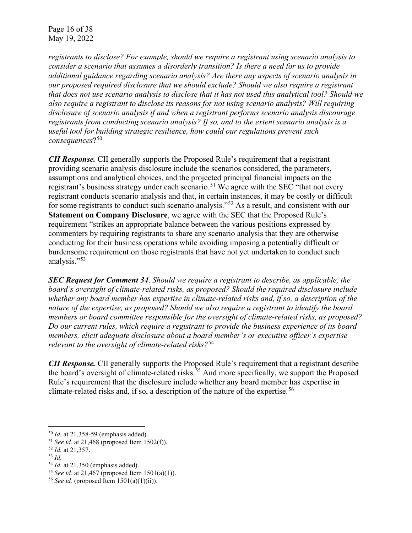*registrants to disclose? For example, should we require a registrant using scenario analysis to consider a scenario that assumes a disorderly transition? Is there a need for us to provide additional guidance regarding scenario analysis? Are there any aspects of scenario analysis in our proposed required disclosure that we should exclude? Should we also require a registrant that does not use scenario analysis to disclose that it has not used this analytical tool? Should we also require a registrant to disclose its reasons for not using scenario analysis? Will requiring disclosure of scenario analysis if and when a registrant performs scenario analysis discourage registrants from conducting scenario analysis? If so, and to the extent scenario analysis is a useful tool for building strategic resilience, how could our regulations prevent such consequences*?[50](#page-15-0)

*CII Response.* CII generally supports the Proposed Rule's requirement that a registrant providing scenario analysis disclosure include the scenarios considered, the parameters, assumptions and analytical choices, and the projected principal financial impacts on the registrant's business strategy under each scenario.<sup>[51](#page-15-1)</sup> We agree with the SEC "that not every registrant conducts scenario analysis and that, in certain instances, it may be costly or difficult for some registrants to conduct such scenario analysis."<sup>[52](#page-15-2)</sup> As a result, and consistent with our **Statement on Company Disclosure**, we agree with the SEC that the Proposed Rule's requirement "strikes an appropriate balance between the various positions expressed by commenters by requiring registrants to share any scenario analysis that they are otherwise conducting for their business operations while avoiding imposing a potentially difficult or burdensome requirement on those registrants that have not yet undertaken to conduct such analysis."<sup>[53](#page-15-3)</sup>

*SEC Request for Comment 34*. *Should we require a registrant to describe, as applicable, the board's oversight of climate-related risks, as proposed? Should the required disclosure include whether any board member has expertise in climate-related risks and, if so, a description of the nature of the expertise, as proposed? Should we also require a registrant to identify the board members or board committee responsible for the oversight of climate-related risks, as proposed? Do our current rules, which require a registrant to provide the business experience of its board members, elicit adequate disclosure about a board member's or executive officer's expertise relevant to the oversight of climate-related risks?*[54](#page-15-4)

*CII Response.* CII generally supports the Proposed Rule's requirement that a registrant describe the board's oversight of climate-related risks. [55](#page-15-5) And more specifically, we support the Proposed Rule's requirement that the disclosure include whether any board member has expertise in climate-related risks and, if so, a description of the nature of the expertise.<sup>[56](#page-15-6)</sup>

<span id="page-15-0"></span><sup>50</sup> *Id.* at 21,358-59 (emphasis added).

<span id="page-15-1"></span><sup>51</sup> *See id.* at 21,468 (proposed Item 1502(f)).

<span id="page-15-2"></span><sup>52</sup> *Id.* at 21,357.

<span id="page-15-3"></span><sup>&</sup>lt;sup>53</sup> *Id.* at 21,350 (emphasis added).

<span id="page-15-5"></span><span id="page-15-4"></span><sup>&</sup>lt;sup>55</sup> *See id.* at 21,467 (proposed Item 1501(a)(1)).

<span id="page-15-6"></span><sup>&</sup>lt;sup>56</sup> *See id.* (proposed Item  $1501(a)(1)(ii)$ ).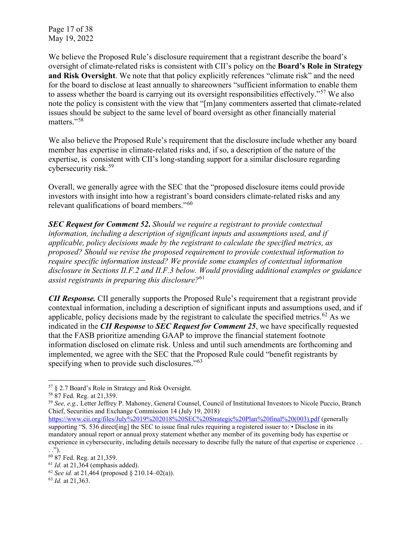Page 17 of 38 May 19, 2022

We believe the Proposed Rule's disclosure requirement that a registrant describe the board's oversight of climate-related risks is consistent with CII's policy on the **Board's Role in Strategy and Risk Oversight**. We note that that policy explicitly references "climate risk" and the need for the board to disclose at least annually to shareowners "sufficient information to enable them to assess whether the board is carrying out its oversight responsibilities effectively."<sup>[57](#page-16-0)</sup> We also note the policy is consistent with the view that "[m]any commenters asserted that climate-related issues should be subject to the same level of board oversight as other financially material matters."[58](#page-16-1)

We also believe the Proposed Rule's requirement that the disclosure include whether any board member has expertise in climate-related risks and, if so, a description of the nature of the expertise, is consistent with CII's long-standing support for a similar disclosure regarding cybersecurity risk.[59](#page-16-2)

Overall, we generally agree with the SEC that the "proposed disclosure items could provide investors with insight into how a registrant's board considers climate-related risks and any relevant qualifications of board members."[60](#page-16-3)

*SEC Request for Comment 52***.** *Should we require a registrant to provide contextual information, including a description of significant inputs and assumptions used, and if applicable, policy decisions made by the registrant to calculate the specified metrics, as proposed? Should we revise the proposed requirement to provide contextual information to require specific information instead? We provide some examples of contextual information disclosure in Sections II.F.2 and II.F.3 below. Would providing additional examples or guidance assist registrants in preparing this disclosure?*[61](#page-16-4)

*CII Response.* CII generally supports the Proposed Rule's requirement that a registrant provide contextual information, including a description of significant inputs and assumptions used, and if applicable, policy decisions made by the registrant to calculate the specified metrics.<sup>[62](#page-16-5)</sup> As we indicated in the *CII Response* to *SEC Request for Comment 25*, we have specifically requested that the FASB prioritize amending GAAP to improve the financial statement footnote information disclosed on climate risk. Unless and until such amendments are forthcoming and implemented, we agree with the SEC that the Proposed Rule could "benefit registrants by specifying when to provide such disclosures."<sup>[63](#page-16-6)</sup>

<span id="page-16-6"></span><span id="page-16-5"></span>

<span id="page-16-0"></span><sup>57</sup> § 2.7 Board's Role in Strategy and Risk Oversight.

<span id="page-16-1"></span><sup>58</sup> 87 Fed. Reg. at 21,359.

<span id="page-16-2"></span><sup>59</sup> *See, e.g.,* Letter Jeffrey P. Mahoney, General Counsel, Council of Institutional Investors to Nicole Puccio, Branch Chief, Securities and Exchange Commission 14 (July 19, 2018)

[https://www.cii.org/files/July%2019%202018%20SEC%20Strategic%20Plan%20final%20\(003\).pdf](https://www.cii.org/files/July%2019%202018%20SEC%20Strategic%20Plan%20final%20(003).pdf) (generally supporting "S. 536 direct [ing] the SEC to issue final rules requiring a registered issuer to: • Disclose in its mandatory annual report or annual proxy statement whether any member of its governing body has expertise or

experience in cybersecurity, including details necessary to describe fully the nature of that expertise or experience . .

<span id="page-16-4"></span>

<span id="page-16-3"></span><sup>..&</sup>quot;).<br><sup>60</sup> 87 Fed. Reg. at 21,359.<br><sup>61</sup> *Id.* at 21,364 (emphasis added).<br><sup>62</sup> *See id.* at 21,464 (proposed § 210.14–02(a)).<br><sup>63</sup> *Id.* at 21,363.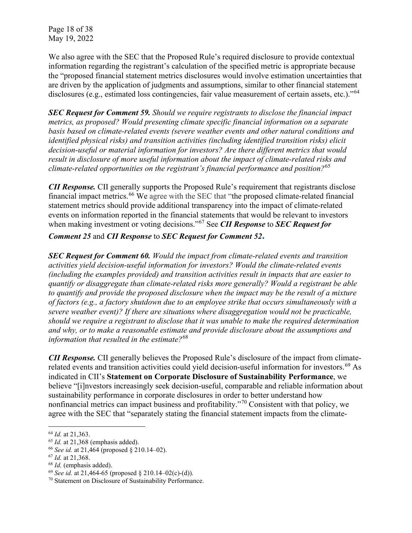Page 18 of 38 May 19, 2022

We also agree with the SEC that the Proposed Rule's required disclosure to provide contextual information regarding the registrant's calculation of the specified metric is appropriate because the "proposed financial statement metrics disclosures would involve estimation uncertainties that are driven by the application of judgments and assumptions, similar to other financial statement disclosures (e.g., estimated loss contingencies, fair value measurement of certain assets, etc.)."<sup>[64](#page-17-0)</sup>

*SEC Request for Comment 59. Should we require registrants to disclose the financial impact metrics, as proposed? Would presenting climate specific financial information on a separate basis based on climate-related events (severe weather events and other natural conditions and identified physical risks) and transition activities (including identified transition risks) elicit decision-useful or material information for investors? Are there different metrics that would result in disclosure of more useful information about the impact of climate-related risks and climate-related opportunities on the registrant's financial performance and position?*[65](#page-17-1)

*CII Response.* CII generally supports the Proposed Rule's requirement that registrants disclose financial impact metrics.<sup>[66](#page-17-2)</sup> We agree with the SEC that "the proposed climate-related financial statement metrics should provide additional transparency into the impact of climate-related events on information reported in the financial statements that would be relevant to investors when making investment or voting decisions."[67](#page-17-3) See *CII Response* to *SEC Request for* 

*Comment 25* and *CII Response* to *SEC Request for Comment 52***.**

*SEC Request for Comment 60. Would the impact from climate-related events and transition activities yield decision-useful information for investors? Would the climate-related events (including the examples provided) and transition activities result in impacts that are easier to quantify or disaggregate than climate-related risks more generally? Would a registrant be able to quantify and provide the proposed disclosure when the impact may be the result of a mixture of factors (e.g., a factory shutdown due to an employee strike that occurs simultaneously with a severe weather event)? If there are situations where disaggregation would not be practicable, should we require a registrant to disclose that it was unable to make the required determination and why, or to make a reasonable estimate and provide disclosure about the assumptions and information that resulted in the estimate?*[68](#page-17-4)

*CII Response.* CII generally believes the Proposed Rule's disclosure of the impact from climate-related events and transition activities could yield decision-useful information for investors.<sup>[69](#page-17-5)</sup> As indicated in CII's **Statement on Corporate Disclosure of Sustainability Performance**, we believe "[i]nvestors increasingly seek decision-useful, comparable and reliable information about sustainability performance in corporate disclosures in order to better understand how nonfinancial metrics can impact business and profitability."[70](#page-17-6) Consistent with that policy, we agree with the SEC that "separately stating the financial statement impacts from the climate-

<span id="page-17-1"></span><span id="page-17-0"></span><sup>&</sup>lt;sup>64</sup> *Id.* at 21,363.<br><sup>65</sup> *Id.* at 21,368 (emphasis added).

<span id="page-17-2"></span><sup>&</sup>lt;sup>66</sup> *See id.* at 21,464 (proposed § 210.14–02).

<span id="page-17-4"></span><span id="page-17-3"></span> $^{67}$  *Id.* at 21,368.<br> $^{68}$  *Id.* (emphasis added).

<span id="page-17-5"></span><sup>&</sup>lt;sup>69</sup> *See id.* at 21,464-65 (proposed § 210.14–02(c)-(d)).

<span id="page-17-6"></span><sup>70</sup> Statement on Disclosure of Sustainability Performance.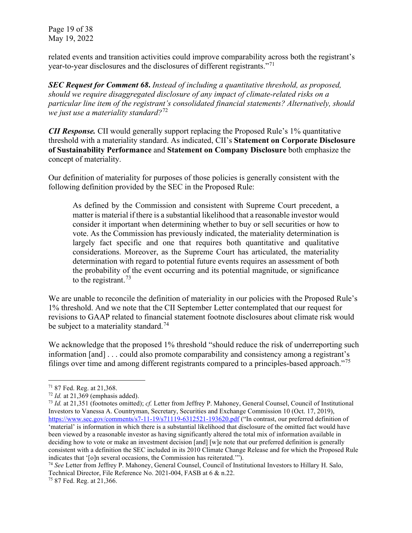Page 19 of 38 May 19, 2022

related events and transition activities could improve comparability across both the registrant's year-to-year disclosures and the disclosures of different registrants."[71](#page-18-0)

*SEC Request for Comment 68***.** *Instead of including a quantitative threshold, as proposed, should we require disaggregated disclosure of any impact of climate-related risks on a particular line item of the registrant's consolidated financial statements? Alternatively, should we just use a materiality standard?*[72](#page-18-1)

*CII Response.* CII would generally support replacing the Proposed Rule's 1% quantitative threshold with a materiality standard. As indicated, CII's **Statement on Corporate Disclosure of Sustainability Performance** and **Statement on Company Disclosure** both emphasize the concept of materiality.

Our definition of materiality for purposes of those policies is generally consistent with the following definition provided by the SEC in the Proposed Rule:

As defined by the Commission and consistent with Supreme Court precedent, a matter is material if there is a substantial likelihood that a reasonable investor would consider it important when determining whether to buy or sell securities or how to vote. As the Commission has previously indicated, the materiality determination is largely fact specific and one that requires both quantitative and qualitative considerations. Moreover, as the Supreme Court has articulated, the materiality determination with regard to potential future events requires an assessment of both the probability of the event occurring and its potential magnitude, or significance to the registrant.<sup>[73](#page-18-2)</sup>

We are unable to reconcile the definition of materiality in our policies with the Proposed Rule's 1% threshold. And we note that the CII September Letter contemplated that our request for revisions to GAAP related to financial statement footnote disclosures about climate risk would be subject to a materiality standard.<sup>[74](#page-18-3)</sup>

We acknowledge that the proposed 1% threshold "should reduce the risk of underreporting such information [and] . . . could also promote comparability and consistency among a registrant's filings over time and among different registrants compared to a principles-based approach."[75](#page-18-4)

<span id="page-18-2"></span>

<span id="page-18-1"></span><span id="page-18-0"></span><sup>71</sup> 87 Fed. Reg. at 21,368. 72 *Id.* at 21,369 (emphasis added). 73 *Id.* at 21,351 (footnotes omitted); *cf.* Letter from Jeffrey P. Mahoney, General Counsel, Council of Institutional Investors to Vanessa A. Countryman, Secretary, Securities and Exchange Commission 10 (Oct. 17, 2019), <https://www.sec.gov/comments/s7-11-19/s71119-6312521-193620.pdf> ("In contrast, our preferred definition of 'material' is information in which there is a substantial likelihood that disclosure of the omitted fact would have been viewed by a reasonable investor as having significantly altered the total mix of information available in deciding how to vote or make an investment decision [and] [w]e note that our preferred definition is generally consistent with a definition the SEC included in its 2010 Climate Change Release and for which the Proposed Rule indicates that '[o]n several occasions, the Commission has reiterated.'").

<span id="page-18-3"></span><sup>74</sup> *See* Letter from Jeffrey P. Mahoney, General Counsel, Council of Institutional Investors to Hillary H. Salo, Technical Director, File Reference No. 2021-004, FASB at 6 & n.22.

<span id="page-18-4"></span><sup>75</sup> 87 Fed. Reg. at 21,366.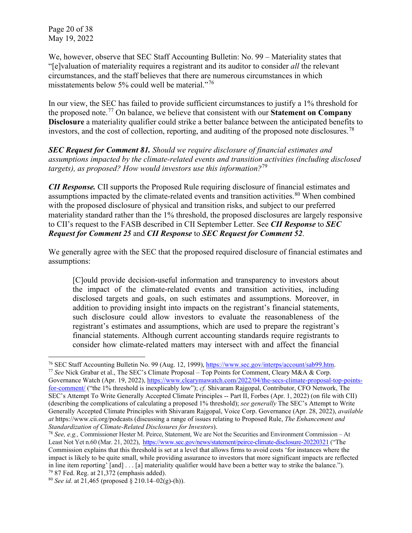Page 20 of 38 May 19, 2022

We, however, observe that SEC Staff Accounting Bulletin: No. 99 – Materiality states that "[e]valuation of materiality requires a registrant and its auditor to consider *all* the relevant circumstances, and the staff believes that there are numerous circumstances in which misstatements below 5% could well be material."<sup>[76](#page-19-0)</sup>

In our view, the SEC has failed to provide sufficient circumstances to justify a 1% threshold for the proposed note. [77](#page-19-1) On balance, we believe that consistent with our **Statement on Company Disclosure** a materiality qualifier could strike a better balance between the anticipated benefits to investors, and the cost of collection, reporting, and auditing of the proposed note disclosures.<sup>[78](#page-19-2)</sup>

*SEC Request for Comment 81. Should we require disclosure of financial estimates and assumptions impacted by the climate-related events and transition activities (including disclosed targets), as proposed? How would investors use this information?*[79](#page-19-3)

*CII Response.* CII supports the Proposed Rule requiring disclosure of financial estimates and assumptions impacted by the climate-related events and transition activities.<sup>[80](#page-19-4)</sup> When combined with the proposed disclosure of physical and transition risks, and subject to our preferred materiality standard rather than the 1% threshold, the proposed disclosures are largely responsive to CII's request to the FASB described in CII September Letter. See *CII Response* to *SEC Request for Comment 25* and *CII Response* to *SEC Request for Comment 52*.

We generally agree with the SEC that the proposed required disclosure of financial estimates and assumptions:

[C]ould provide decision-useful information and transparency to investors about the impact of the climate-related events and transition activities, including disclosed targets and goals, on such estimates and assumptions. Moreover, in addition to providing insight into impacts on the registrant's financial statements, such disclosure could allow investors to evaluate the reasonableness of the registrant's estimates and assumptions, which are used to prepare the registrant's financial statements. Although current accounting standards require registrants to consider how climate-related matters may intersect with and affect the financial

<span id="page-19-1"></span>Governance Watch (Apr. 19, 2022)[, https://www.clearymawatch.com/2022/04/the-secs-climate-proposal-top-points](https://www.clearymawatch.com/2022/04/the-secs-climate-proposal-top-points-for-comment/)[for-comment/](https://www.clearymawatch.com/2022/04/the-secs-climate-proposal-top-points-for-comment/) ("the 1% threshold is inexplicably low"); *cf.* Shivaram Rajgopal, Contributor, CFO Network, The SEC's Attempt To Write Generally Accepted Climate Principles -- Part II, Forbes (Apr. 1, 2022) (on file with CII) (describing the complications of calculating a proposed 1% threshold); *see generally* The SEC's Attempt to Write Generally Accepted Climate Principles with Shivaram Rajgopal, [Voice Corp. Governance](https://podcasts.apple.com/us/podcast/the-voice-of-corporate-governance/id1433954314) (Apr. 28, 2022), *available at* https://www.cii.org/podcasts (discussing a range of issues relating to Proposed Rule, *The Enhancement and Standardization of Climate-Related Disclosures for Investors*).

<span id="page-19-0"></span><sup>76</sup> SEC Staff Accounting Bulletin No. 99 (Aug. 12, 1999), [https://www.sec.gov/interps/account/sab99.htm.](https://www.sec.gov/interps/account/sab99.htm) 77 *See* Nick Grabar et al., The SEC's Climate Proposal – Top Points for Comment, Cleary M&A & Corp.

<span id="page-19-2"></span><sup>78</sup> *See, e.g.,* Commissioner Hester M. Peirce, Statement, We are Not the Securities and Environment Commission – At Least Not Yet n.60 (Mar. 21, 2022),<https://www.sec.gov/news/statement/peirce-climate-disclosure-20220321> ("The Commission explains that this threshold is set at a level that allows firms to avoid costs 'for instances where the impact is likely to be quite small, while providing assurance to investors that more significant impacts are reflected in line item reporting' [and] . . . [a] materiality qualifier would have been a better way to strike the balance.").<br><sup>79</sup> 87 Fed. Reg. at 21,372 (emphasis added).<br><sup>80</sup> See id. at 21,465 (proposed § 210.14–02(g)-(h)).

<span id="page-19-4"></span><span id="page-19-3"></span>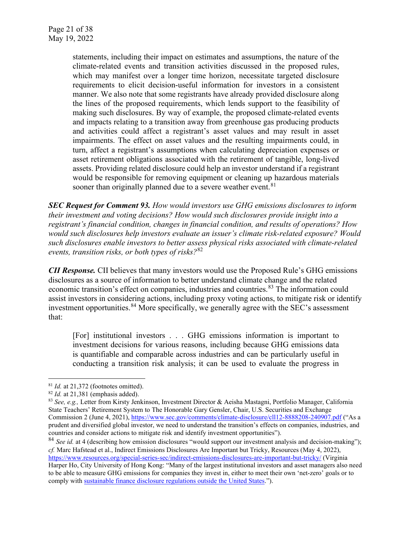statements, including their impact on estimates and assumptions, the nature of the climate-related events and transition activities discussed in the proposed rules, which may manifest over a longer time horizon, necessitate targeted disclosure requirements to elicit decision-useful information for investors in a consistent manner. We also note that some registrants have already provided disclosure along the lines of the proposed requirements, which lends support to the feasibility of making such disclosures. By way of example, the proposed climate-related events and impacts relating to a transition away from greenhouse gas producing products and activities could affect a registrant's asset values and may result in asset impairments. The effect on asset values and the resulting impairments could, in turn, affect a registrant's assumptions when calculating depreciation expenses or asset retirement obligations associated with the retirement of tangible, long-lived assets. Providing related disclosure could help an investor understand if a registrant would be responsible for removing equipment or cleaning up hazardous materials sooner than originally planned due to a severe weather event.<sup>[81](#page-20-0)</sup>

*SEC Request for Comment 93. How would investors use GHG emissions disclosures to inform their investment and voting decisions? How would such disclosures provide insight into a registrant's financial condition, changes in financial condition, and results of operations? How would such disclosures help investors evaluate an issuer's climate risk-related exposure? Would such disclosures enable investors to better assess physical risks associated with climate-related events, transition risks, or both types of risks?*[82](#page-20-1)

*CII Response.* CII believes that many investors would use the Proposed Rule's GHG emissions disclosures as a source of information to better understand climate change and the related economic transition's effect on companies, industries and countries.<sup>[83](#page-20-2)</sup> The information could assist investors in considering actions, including proxy voting actions, to mitigate risk or identify investment opportunities.<sup>[84](#page-20-3)</sup> More specifically, we generally agree with the SEC's assessment that:

[For] institutional investors . . . GHG emissions information is important to investment decisions for various reasons, including because GHG emissions data is quantifiable and comparable across industries and can be particularly useful in conducting a transition risk analysis; it can be used to evaluate the progress in

<span id="page-20-3"></span><sup>84</sup> *See id.* at 4 (describing how emission disclosures "would support our investment analysis and decision-making"); *cf.* Marc Hafstead et al., Indirect Emissions Disclosures Are Important but Tricky, Resources (May 4, 2022), <https://www.resources.org/special-series-sec/indirect-emissions-disclosures-are-important-but-tricky/> (Virginia

<span id="page-20-1"></span><span id="page-20-0"></span> $^{81}$  *Id.* at 21,372 (footnotes omitted).<br> $^{82}$  *Id.* at 21,381 (emphasis added).

<span id="page-20-2"></span><sup>83</sup> *See, e.g.,* Letter from Kirsty Jenkinson, Investment Director & Aeisha Mastagni, Portfolio Manager, California State Teachers' Retirement System to The Honorable Gary Gensler, Chair, U.S. Securities and Exchange Commission 2 (June 4, 2021),<https://www.sec.gov/comments/climate-disclosure/cll12-8888208-240907.pdf> ("As a prudent and diversified global investor, we need to understand the transition's effects on companies, industries, and countries and consider actions to mitigate risk and identify investment opportunities").

Harper Ho, City University of Hong Kong: "Many of the largest institutional investors and asset managers also need to be able to measure GHG emissions for companies they invest in, either to meet their own 'net-zero' goals or to comply with [sustainable finance disclosure regulations outside the United States."](https://eur-lex.europa.eu/legal-content/EN/TXT/?uri=CELEX:32019R2088)).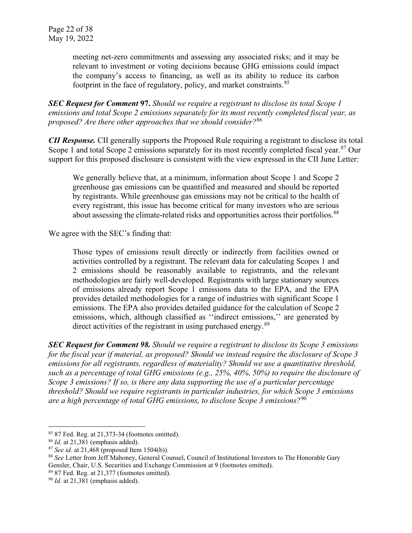meeting net-zero commitments and assessing any associated risks; and it may be relevant to investment or voting decisions because GHG emissions could impact the company's access to financing, as well as its ability to reduce its carbon footprint in the face of regulatory, policy, and market constraints.<sup>[85](#page-21-0)</sup>

*SEC Request for Comment* **97.** *Should we require a registrant to disclose its total Scope 1 emissions and total Scope 2 emissions separately for its most recently completed fiscal year, as proposed? Are there other approaches that we should consider?*[86](#page-21-1)

*CII Response.* CII generally supports the Proposed Rule requiring a registrant to disclose its total Scope 1 and total Scope 2 emissions separately for its most recently completed fiscal year.<sup>[87](#page-21-2)</sup> Our support for this proposed disclosure is consistent with the view expressed in the CII June Letter:

We generally believe that, at a minimum, information about Scope 1 and Scope 2 greenhouse gas emissions can be quantified and measured and should be reported by registrants. While greenhouse gas emissions may not be critical to the health of every registrant, this issue has become critical for many investors who are serious about assessing the climate-related risks and opportunities across their portfolios.<sup>[88](#page-21-3)</sup>

We agree with the SEC's finding that:

Those types of emissions result directly or indirectly from facilities owned or activities controlled by a registrant. The relevant data for calculating Scopes 1 and 2 emissions should be reasonably available to registrants, and the relevant methodologies are fairly well-developed. Registrants with large stationary sources of emissions already report Scope 1 emissions data to the EPA, and the EPA provides detailed methodologies for a range of industries with significant Scope 1 emissions. The EPA also provides detailed guidance for the calculation of Scope 2 emissions, which, although classified as ''indirect emissions,'' are generated by direct activities of the registrant in using purchased energy.<sup>[89](#page-21-4)</sup>

*SEC Request for Comment 98. Should we require a registrant to disclose its Scope 3 emissions for the fiscal year if material, as proposed? Should we instead require the disclosure of Scope 3 emissions for all registrants, regardless of materiality? Should we use a quantitative threshold, such as a percentage of total GHG emissions (e.g., 25%, 40%, 50%) to require the disclosure of Scope 3 emissions? If so, is there any data supporting the use of a particular percentage threshold? Should we require registrants in particular industries, for which Scope 3 emissions are a high percentage of total GHG emissions, to disclose Scope 3 emissions?*[90](#page-21-5)

<span id="page-21-1"></span><span id="page-21-0"></span><sup>85</sup> 87 Fed. Reg. at 21,373-34 (footnotes omitted). 86 *Id.* at 21,381 (emphasis added). 87 *See id.* at 21,468 (proposed Item 1504(b)).

<span id="page-21-2"></span>

<span id="page-21-3"></span><sup>88</sup> *See* Letter from Jeff Mahoney, General Counsel, Council of Institutional Investors to The Honorable Gary Gensler, Chair, U.S. Securities and Exchange Commission at 9 (footnotes omitted).<br><sup>89</sup> 87 Fed. Reg. at 21,377 (footnotes omitted).<br><sup>90</sup> *Id.* at 21,381 (emphasis added).

<span id="page-21-4"></span>

<span id="page-21-5"></span>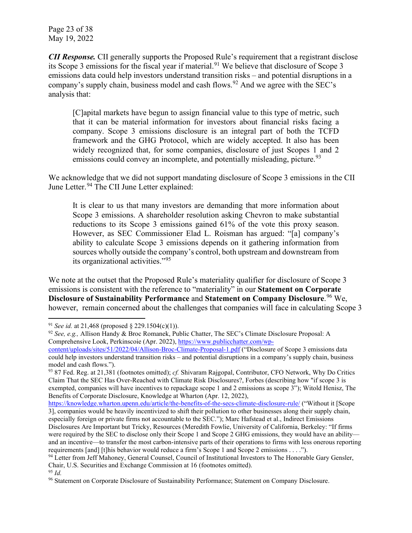Page 23 of 38 May 19, 2022

*CII Response.* CII generally supports the Proposed Rule's requirement that a registrant disclose its Scope 3 emissions for the fiscal year if material.<sup>[91](#page-22-0)</sup> We believe that disclosure of Scope 3 emissions data could help investors understand transition risks – and potential disruptions in a company's supply chain, business model and cash flows.<sup>[92](#page-22-1)</sup> And we agree with the SEC's analysis that:

[C]apital markets have begun to assign financial value to this type of metric, such that it can be material information for investors about financial risks facing a company. Scope 3 emissions disclosure is an integral part of both the TCFD framework and the GHG Protocol, which are widely accepted. It also has been widely recognized that, for some companies, disclosure of just Scopes 1 and 2 emissions could convey an incomplete, and potentially misleading, picture.<sup>[93](#page-22-2)</sup>

We acknowledge that we did not support mandating disclosure of Scope 3 emissions in the CII June Letter.<sup>[94](#page-22-3)</sup> The CII June Letter explained:

It is clear to us that many investors are demanding that more information about Scope 3 emissions. A shareholder resolution asking Chevron to make substantial reductions to its Scope 3 emissions gained 61% of the vote this proxy season. However, as SEC Commissioner Elad L. Roisman has argued: "[a] company's ability to calculate Scope 3 emissions depends on it gathering information from sources wholly outside the company's control, both upstream and downstream from its organizational activities."[95](#page-22-4)

We note at the outset that the Proposed Rule's materiality qualifier for disclosure of Scope 3 emissions is consistent with the reference to "materiality" in our **Statement on Corporate Disclosure of Sustainability Performance** and **Statement on Company Disclosure**. [96](#page-22-5) We, however, remain concerned about the challenges that companies will face in calculating Scope 3

<https://knowledge.wharton.upenn.edu/article/the-benefits-of-the-secs-climate-disclosure-rule/> ("Without it [Scope 3], companies would be heavily incentivized to shift their pollution to other businesses along their supply chain, especially foreign or private firms not accountable to the SEC."); Marc Hafstead et al., Indirect Emissions Disclosures Are Important but Tricky, Resources (Meredith Fowlie, University of California, Berkeley: "If firms were required by the SEC to disclose only their Scope 1 and Scope 2 GHG emissions, they would have an ability and an incentive—to transfer the most carbon-intensive parts of their operations to firms with less onerous reporting

<span id="page-22-0"></span><sup>91</sup> *See id.* at 21,468 (proposed § 229.1504(c)(1)).

<span id="page-22-1"></span><sup>92</sup> *See, e.g.,* Allison Handy & Broc Romanek, Public Chatter, The SEC's Climate Disclosure Proposal: A Comprehensive Look, Perkinscoie (Apr. 2022)[, https://www.publicchatter.com/wp-](https://www.publicchatter.com/wp-content/uploads/sites/51/2022/04/Allison-Broc-Climate-Proposal-1.pdf)

[content/uploads/sites/51/2022/04/Allison-Broc-Climate-Proposal-1.pdf](https://www.publicchatter.com/wp-content/uploads/sites/51/2022/04/Allison-Broc-Climate-Proposal-1.pdf) ("Disclosure of Scope 3 emissions data could help investors understand transition risks – and potential disruptions in a company's supply chain, business model and cash flows.").

<span id="page-22-2"></span><sup>93</sup> 87 Fed. Reg. at 21,381 (footnotes omitted); *cf.* Shivaram Rajgopal, Contributor, CFO Network, Why Do Critics Claim That the SEC Has Over-Reached with Climate Risk Disclosures?, Forbes (describing how "if scope 3 is exempted, companies will have incentives to repackage scope 1 and 2 emissions as scope 3"); Witold Henisz, The Benefits of Corporate Disclosure, Knowledge at Wharton (Apr. 12, 2022),

<span id="page-22-3"></span>requirements [and] [t]his behavior would reduce a firm's Scope 1 and Scope 2 emissions . . . ."). <sup>94</sup> Letter from Jeff Mahoney, General Counsel, Council of Institutional Investors to The Honorable Gary Gensler, Chair, U.S. Securities and Exchange Commission at 16 (footnotes omitted). 95 *Id.*

<span id="page-22-5"></span><span id="page-22-4"></span><sup>96</sup> Statement on Corporate Disclosure of Sustainability Performance; Statement on Company Disclosure.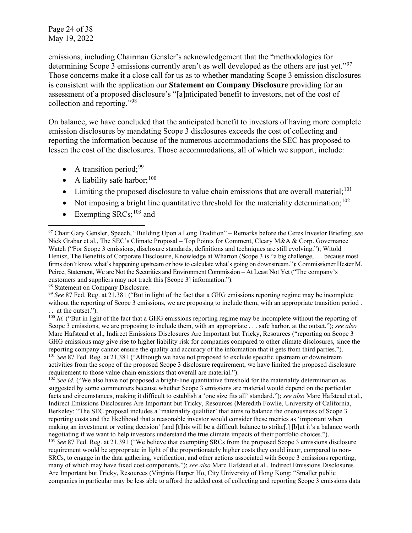Page 24 of 38 May 19, 2022

emissions, including Chairman Gensler's acknowledgement that the "methodologies for determining Scope 3 emissions currently aren't as well developed as the others are just yet."<sup>[97](#page-23-0)</sup> Those concerns make it a close call for us as to whether mandating Scope 3 emission disclosures is consistent with the application our **Statement on Company Disclosure** providing for an assessment of a proposed disclosure's "[a]nticipated benefit to investors, net of the cost of collection and reporting."[98](#page-23-1)

On balance, we have concluded that the anticipated benefit to investors of having more complete emission disclosures by mandating Scope 3 disclosures exceeds the cost of collecting and reporting the information because of the numerous accommodations the SEC has proposed to lessen the cost of the disclosures. Those accommodations, all of which we support, include:

- A transition period;<sup>[99](#page-23-2)</sup>
- A liability safe harbor;  $100$
- $\bullet$  Limiting the proposed disclosure to value chain emissions that are overall material;  $^{101}$  $^{101}$  $^{101}$
- Not imposing a bright line quantitative threshold for the materiality determination;  $102$
- Exempting  $SRCs;^{103}$  $SRCs;^{103}$  $SRCs;^{103}$  and

<span id="page-23-6"></span><span id="page-23-5"></span><span id="page-23-4"></span><sup>102</sup> *See id.* ("We also have not proposed a bright-line quantitative threshold for the materiality determination as suggested by some commenters because whether Scope 3 emissions are material would depend on the particular facts and circumstances, making it difficult to establish a 'one size fits all' standard."); *see also* Marc Hafstead et al., Indirect Emissions Disclosures Are Important but Tricky, Resources (Meredith Fowlie, University of California, Berkeley: "The SEC proposal includes a 'materiality qualifier' that aims to balance the onerousness of Scope 3 reporting costs and the likelihood that a reasonable investor would consider these metrics as 'important when making an investment or voting decision' [and [t]his will be a difficult balance to strike[,] [b]ut it's a balance worth negotiating if we want to help investors understand the true climate impacts of their portfolio choices."). <sup>103</sup> *See* 87 Fed. Reg. at 21,391 ("We believe that exempting SRCs from the proposed Scope 3 emissions disclosure requirement would be appropriate in light of the proportionately higher costs they could incur, compared to non-SRCs, to engage in the data gathering, verification, and other actions associated with Scope 3 emissions reporting, many of which may have fixed cost components."); *see also* Marc Hafstead et al., Indirect Emissions Disclosures Are Important but Tricky, Resources (Virginia Harper Ho, City University of Hong Kong: "Smaller public companies in particular may be less able to afford the added cost of collecting and reporting Scope 3 emissions data

<span id="page-23-0"></span><sup>97</sup> Chair Gary Gensler, Speech, "Building Upon a Long Tradition" – Remarks before the Ceres Investor Briefing; *see* Nick Grabar et al., The SEC's Climate Proposal – Top Points for Comment, Cleary M&A & Corp. Governance Watch ("For Scope 3 emissions, disclosure standards, definitions and techniques are still evolving."); Witold Henisz, The Benefits of Corporate Disclosure, Knowledge at Wharton (Scope 3 is "a big challenge, . . . because most firms don't know what's happening upstream or how to calculate what's going on downstream."); Commissioner Hester M. Peirce, Statement, We are Not the Securities and Environment Commission – At Least Not Yet ("The company's customers and suppliers may not track this [Scope 3] information."). 98 Statement on Company Disclosure.

<span id="page-23-2"></span><span id="page-23-1"></span><sup>99</sup> *See* 87 Fed. Reg. at 21,381 ("But in light of the fact that a GHG emissions reporting regime may be incomplete without the reporting of Scope 3 emissions, we are proposing to include them, with an appropriate transition period. .. at the outset.").<br><sup>100</sup> *Id.* ("But in light of the fact that a GHG emissions reporting regime may be incomplete without the reporting of

<span id="page-23-3"></span>Scope 3 emissions, we are proposing to include them, with an appropriate . . . safe harbor, at the outset."); *see also* Marc Hafstead et al., Indirect Emissions Disclosures Are Important but Tricky, Resources ("reporting on Scope 3 GHG emissions may give rise to higher liability risk for companies compared to other climate disclosures, since the reporting company cannot ensure the quality and accuracy of the information that it gets from third parties."). <sup>101</sup> See 87 Fed. Reg. at 21,381 ("Although we have not proposed to exclude specific upstream or downstream activities from the scope of the proposed Scope 3 disclosure requirement, we have limited the proposed disclosure requirement to those value chain emissions that overall are material.").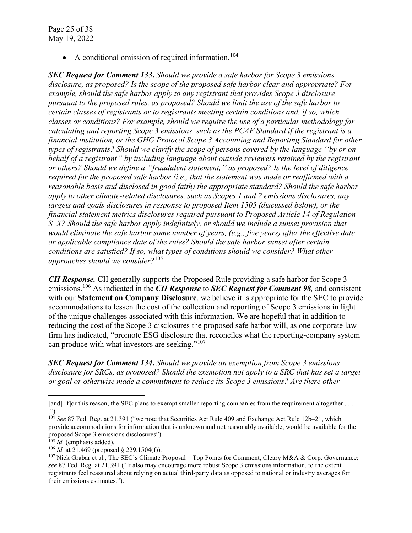Page 25 of 38 May 19, 2022

• A conditional omission of required information.<sup>[104](#page-24-0)</sup>

*SEC Request for Comment 133***.** *Should we provide a safe harbor for Scope 3 emissions disclosure, as proposed? Is the scope of the proposed safe harbor clear and appropriate? For example, should the safe harbor apply to any registrant that provides Scope 3 disclosure pursuant to the proposed rules, as proposed? Should we limit the use of the safe harbor to certain classes of registrants or to registrants meeting certain conditions and, if so, which classes or conditions? For example, should we require the use of a particular methodology for calculating and reporting Scope 3 emissions, such as the PCAF Standard if the registrant is a financial institution, or the GHG Protocol Scope 3 Accounting and Reporting Standard for other types of registrants? Should we clarify the scope of persons covered by the language ''by or on behalf of a registrant'' by including language about outside reviewers retained by the registrant or others? Should we define a ''fraudulent statement,'' as proposed? Is the level of diligence required for the proposed safe harbor (i.e., that the statement was made or reaffirmed with a reasonable basis and disclosed in good faith) the appropriate standard? Should the safe harbor apply to other climate-related disclosures, such as Scopes 1 and 2 emissions disclosures, any targets and goals disclosures in response to proposed Item 1505 (discussed below), or the financial statement metrics disclosures required pursuant to Proposed Article 14 of Regulation S–X? Should the safe harbor apply indefinitely, or should we include a sunset provision that would eliminate the safe harbor some number of years, (e.g., five years) after the effective date or applicable compliance date of the rules? Should the safe harbor sunset after certain conditions are satisfied? If so, what types of conditions should we consider? What other approaches should we consider?*[105](#page-24-1)

*CII Response.* CII generally supports the Proposed Rule providing a safe harbor for Scope 3 emissions.[106](#page-24-2) As indicated in the *CII Response* to *SEC Request for Comment 98,* and consistent with our **Statement on Company Disclosure**, we believe it is appropriate for the SEC to provide accommodations to lessen the cost of the collection and reporting of Scope 3 emissions in light of the unique challenges associated with this information. We are hopeful that in addition to reducing the cost of the Scope 3 disclosures the proposed safe harbor will, as one corporate law firm has indicated, "promote ESG disclosure that reconciles what the reporting-company system can produce with what investors are seeking."<sup>[107](#page-24-3)</sup>

*SEC Request for Comment 134***.** *Should we provide an exemption from Scope 3 emissions disclosure for SRCs, as proposed? Should the exemption not apply to a SRC that has set a target or goal or otherwise made a commitment to reduce its Scope 3 emissions? Are there other* 

<sup>[</sup>and] [f]or this reason, the [SEC plans to exempt smaller reporting companies](https://www.federalregister.gov/d/2022-06342/p-2345) from the requirement altogether ...

<span id="page-24-0"></span><sup>.&</sup>quot;). 104 *See* 87 Fed. Reg. at 21,391 ("we note that Securities Act Rule 409 and Exchange Act Rule 12b–21, which provide accommodations for information that is unknown and not reasonably available, would be available for the proposed Scope 3 emissions disclosures").<br><sup>105</sup> *Id.* (emphasis added).

<span id="page-24-1"></span>

<span id="page-24-2"></span><sup>&</sup>lt;sup>106</sup> *Id.* at 21,469 (proposed  $§$  229.1504(f)).

<span id="page-24-3"></span><sup>&</sup>lt;sup>107</sup> Nick Grabar et al., The SEC's Climate Proposal – Top Points for Comment, Cleary M&A & Corp. Governance; *see* 87 Fed. Reg. at 21,391 ("It also may encourage more robust Scope 3 emissions information, to the extent registrants feel reassured about relying on actual third-party data as opposed to national or industry averages for their emissions estimates.").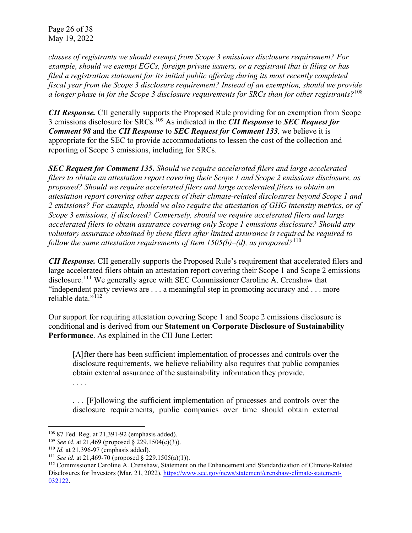Page 26 of 38 May 19, 2022

*classes of registrants we should exempt from Scope 3 emissions disclosure requirement? For example, should we exempt EGCs, foreign private issuers, or a registrant that is filing or has filed a registration statement for its initial public offering during its most recently completed fiscal year from the Scope 3 disclosure requirement? Instead of an exemption, should we provide a longer phase in for the Scope 3 disclosure requirements for SRCs than for other registrants?*[108](#page-25-0)

*CII Response.* CII generally supports the Proposed Rule providing for an exemption from Scope 3 emissions disclosure for SRCs.[109](#page-25-1) As indicated in the *CII Response* to *SEC Request for Comment 98* and the *CII Response* to *SEC Request for Comment 133,* we believe it is appropriate for the SEC to provide accommodations to lessen the cost of the collection and reporting of Scope 3 emissions, including for SRCs.

*SEC Request for Comment 135***.** *Should we require accelerated filers and large accelerated filers to obtain an attestation report covering their Scope 1 and Scope 2 emissions disclosure, as proposed? Should we require accelerated filers and large accelerated filers to obtain an attestation report covering other aspects of their climate-related disclosures beyond Scope 1 and 2 emissions? For example, should we also require the attestation of GHG intensity metrics, or of Scope 3 emissions, if disclosed? Conversely, should we require accelerated filers and large accelerated filers to obtain assurance covering only Scope 1 emissions disclosure? Should any voluntary assurance obtained by these filers after limited assurance is required be required to follow the same attestation requirements of Item 1505(b)–(d), as proposed?*[110](#page-25-2)

*CII Response.* CII generally supports the Proposed Rule's requirement that accelerated filers and large accelerated filers obtain an attestation report covering their Scope 1 and Scope 2 emissions disclosure.<sup>[111](#page-25-3)</sup> We generally agree with SEC Commissioner Caroline A. Crenshaw that "independent party reviews are . . . a meaningful step in promoting accuracy and . . . more reliable data."<sup>[112](#page-25-4)</sup>

Our support for requiring attestation covering Scope 1 and Scope 2 emissions disclosure is conditional and is derived from our **Statement on Corporate Disclosure of Sustainability Performance**. As explained in the CII June Letter:

[A]fter there has been sufficient implementation of processes and controls over the disclosure requirements, we believe reliability also requires that public companies obtain external assurance of the sustainability information they provide. . . . .

. . . [F]ollowing the sufficient implementation of processes and controls over the disclosure requirements, public companies over time should obtain external

<span id="page-25-1"></span><span id="page-25-0"></span><sup>&</sup>lt;sup>108</sup> 87 Fed. Reg. at 21,391-92 (emphasis added).<br><sup>109</sup> *See id.* at 21,469 (proposed § 229.1504(c)(3)).<br><sup>110</sup> *Id.* at 21,396-97 (emphasis added).

<span id="page-25-2"></span>

<span id="page-25-4"></span><span id="page-25-3"></span><sup>&</sup>lt;sup>111</sup> *See id.* at 21,469-70 (proposed § 229.1505(a)(1)).<br><sup>112</sup> Commissioner Caroline A. Crenshaw, Statement on the Enhancement and Standardization of Climate-Related Disclosures for Investors (Mar. 21, 2022), [https://www.sec.gov/news/statement/crenshaw-climate-statement-](https://www.sec.gov/news/statement/crenshaw-climate-statement-032122)[032122.](https://www.sec.gov/news/statement/crenshaw-climate-statement-032122)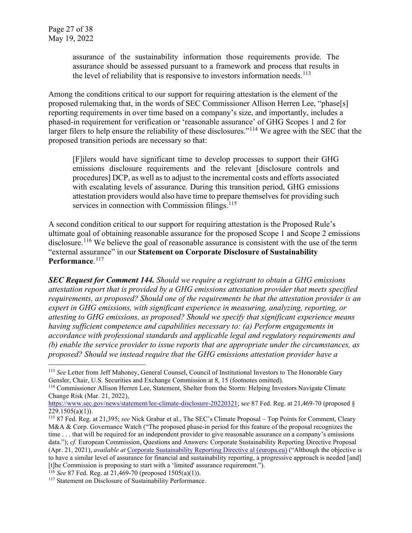assurance of the sustainability information those requirements provide. The assurance should be assessed pursuant to a framework and process that results in the level of reliability that is responsive to investors information needs.<sup>[113](#page-26-0)</sup>

Among the conditions critical to our support for requiring attestation is the element of the proposed rulemaking that, in the words of SEC Commissioner Allison Herren Lee, "phase[s] reporting requirements in over time based on a company's size, and importantly, includes a phased-in requirement for verification or 'reasonable assurance' of GHG Scopes 1 and 2 for larger filers to help ensure the reliability of these disclosures."<sup>[114](#page-26-1)</sup> We agree with the SEC that the proposed transition periods are necessary so that:

[F]ilers would have significant time to develop processes to support their GHG emissions disclosure requirements and the relevant [disclosure controls and procedures] DCP, as well as to adjust to the incremental costs and efforts associated with escalating levels of assurance. During this transition period, GHG emissions attestation providers would also have time to prepare themselves for providing such services in connection with Commission filings. $115$ 

A second condition critical to our support for requiring attestation is the Proposed Rule's ultimate goal of obtaining reasonable assurance for the proposed Scope 1 and Scope 2 emissions disclosure.<sup>[116](#page-26-3)</sup> We believe the goal of reasonable assurance is consistent with the use of the term "external assurance" in our **Statement on Corporate Disclosure of Sustainability**  Performance.<sup>[117](#page-26-4)</sup>

*SEC Request for Comment 144. Should we require a registrant to obtain a GHG emissions attestation report that is provided by a GHG emissions attestation provider that meets specified requirements, as proposed? Should one of the requirements be that the attestation provider is an expert in GHG emissions, with significant experience in measuring, analyzing, reporting, or attesting to GHG emissions, as proposed? Should we specify that significant experience means having sufficient competence and capabilities necessary to: (a) Perform engagements in accordance with professional standards and applicable legal and regulatory requirements and (b) enable the service provider to issue reports that are appropriate under the circumstances, as proposed? Should we instead require that the GHG emissions attestation provider have a* 

<span id="page-26-0"></span><sup>&</sup>lt;sup>113</sup> *See* Letter from Jeff Mahoney, General Counsel, Council of Institutional Investors to The Honorable Gary Gensler, Chair, U.S. Securities and Exchange Commission at 8, 15 (footnotes omitted).

<span id="page-26-1"></span><sup>&</sup>lt;sup>114</sup> Commissioner Allison Herren Lee, Statement, Shelter from the Storm: Helping Investors Navigate Climate Change Risk (Mar. 21, 2022),

[https://www.sec.gov/news/statement/lee-climate-disclosure-20220321;](https://www.sec.gov/news/statement/lee-climate-disclosure-20220321) see 87 Fed. Reg. at 21,469-70 (proposed § 229.1505(a)(1)).

<span id="page-26-2"></span><sup>&</sup>lt;sup>115</sup> 87 Fed. Reg. at 21,395; *see* Nick Grabar et al., The SEC's Climate Proposal – Top Points for Comment, Cleary M&A & Corp. Governance Watch ("The proposed phase-in period for this feature of the proposal recognizes the time . . . that will be required for an independent provider to give reasonable assurance on a company's emissions data."); *cf.* European Commission, Questions and Answers: Corporate Sustainability Reporting Directive Proposal (Apr. 21, 2021), *available at* [Corporate Sustainability Reporting Directive al \(europa.eu\)](https://ec.europa.eu/commission/presscorner/detail/en/QANDA_21_1806) ("Although the objective is to have a similar level of assurance for financial and sustainability reporting, a progressive approach is needed [and] [t]he Commission is proposing to start with a 'limited' assurance requirement.").  $^{116}$  See 87 Fed. Reg. at 21,469-70 (proposed 1505(a)(1)).

<span id="page-26-4"></span><span id="page-26-3"></span><sup>&</sup>lt;sup>117</sup> Statement on Disclosure of Sustainability Performance.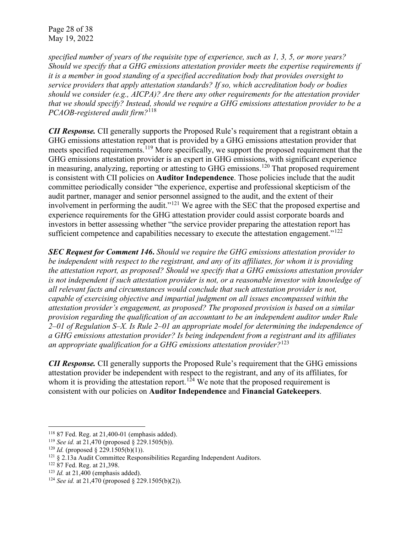Page 28 of 38 May 19, 2022

*specified number of years of the requisite type of experience, such as 1, 3, 5, or more years? Should we specify that a GHG emissions attestation provider meets the expertise requirements if it is a member in good standing of a specified accreditation body that provides oversight to service providers that apply attestation standards? If so, which accreditation body or bodies should we consider (e.g., AICPA)? Are there any other requirements for the attestation provider that we should specify? Instead, should we require a GHG emissions attestation provider to be a PCAOB-registered audit firm?*[118](#page-27-0)

*CII Response.* CII generally supports the Proposed Rule's requirement that a registrant obtain a GHG emissions attestation report that is provided by a GHG emissions attestation provider that meets specified requirements.<sup>[119](#page-27-1)</sup> More specifically, we support the proposed requirement that the GHG emissions attestation provider is an expert in GHG emissions, with significant experience in measuring, analyzing, reporting or attesting to GHG emissions.<sup>[120](#page-27-2)</sup> That proposed requirement is consistent with CII policies on **Auditor Independence**. Those policies include that the audit committee periodically consider "the experience, expertise and professional skepticism of the audit partner, manager and senior personnel assigned to the audit, and the extent of their involvement in performing the audit."[121](#page-27-3) We agree with the SEC that the proposed expertise and experience requirements for the GHG attestation provider could assist corporate boards and investors in better assessing whether "the service provider preparing the attestation report has sufficient competence and capabilities necessary to execute the attestation engagement." $122$ 

*SEC Request for Comment 146***.** *Should we require the GHG emissions attestation provider to be independent with respect to the registrant, and any of its affiliates, for whom it is providing the attestation report, as proposed? Should we specify that a GHG emissions attestation provider is not independent if such attestation provider is not, or a reasonable investor with knowledge of all relevant facts and circumstances would conclude that such attestation provider is not, capable of exercising objective and impartial judgment on all issues encompassed within the attestation provider's engagement, as proposed? The proposed provision is based on a similar provision regarding the qualification of an accountant to be an independent auditor under Rule 2–01 of Regulation S–X. Is Rule 2–01 an appropriate model for determining the independence of a GHG emissions attestation provider? Is being independent from a registrant and its affiliates an appropriate qualification for a GHG emissions attestation provider?*[123](#page-27-5)

*CII Response.* CII generally supports the Proposed Rule's requirement that the GHG emissions attestation provider be independent with respect to the registrant, and any of its affiliates, for whom it is providing the attestation report.<sup>[124](#page-27-6)</sup> We note that the proposed requirement is consistent with our policies on **Auditor Independence** and **Financial Gatekeepers**.

<span id="page-27-1"></span><span id="page-27-0"></span><sup>118</sup> 87 Fed. Reg. at 21,400-01 (emphasis added). 119 *See id.* at 21,470 (proposed § 229.1505(b)).

<span id="page-27-2"></span><sup>&</sup>lt;sup>120</sup> *Id.* (proposed  $\S$  229.1505(b)(1)).

<span id="page-27-3"></span><sup>&</sup>lt;sup>121</sup> § 2.13a Audit Committee Responsibilities Regarding Independent Auditors.<br><sup>122</sup> 87 Fed. Reg. at 21.398.

<span id="page-27-4"></span>

<span id="page-27-6"></span>

<span id="page-27-5"></span><sup>&</sup>lt;sup>123</sup> *Id.* at 21,400 (emphasis added). <sup>124</sup> *See id.* at 21,470 (proposed § 229.1505(b)(2)).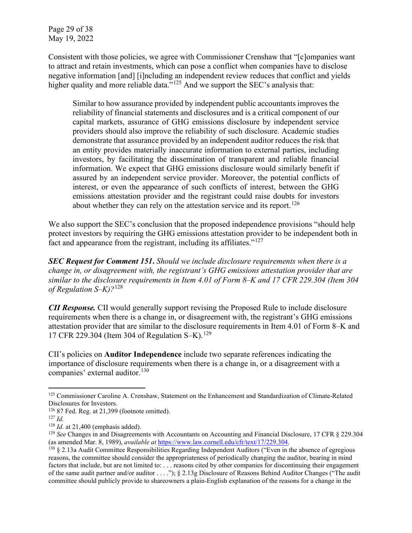Page 29 of 38 May 19, 2022

Consistent with those policies, we agree with Commissioner Crenshaw that "[c]ompanies want to attract and retain investments, which can pose a conflict when companies have to disclose negative information [and] [i]ncluding an independent review reduces that conflict and yields higher quality and more reliable data."<sup>[125](#page-28-0)</sup> And we support the SEC's analysis that:

Similar to how assurance provided by independent public accountants improves the reliability of financial statements and disclosures and is a critical component of our capital markets, assurance of GHG emissions disclosure by independent service providers should also improve the reliability of such disclosure. Academic studies demonstrate that assurance provided by an independent auditor reduces the risk that an entity provides materially inaccurate information to external parties, including investors, by facilitating the dissemination of transparent and reliable financial information. We expect that GHG emissions disclosure would similarly benefit if assured by an independent service provider. Moreover, the potential conflicts of interest, or even the appearance of such conflicts of interest, between the GHG emissions attestation provider and the registrant could raise doubts for investors about whether they can rely on the attestation service and its report.<sup>[126](#page-28-1)</sup>

We also support the SEC's conclusion that the proposed independence provisions "should help protect investors by requiring the GHG emissions attestation provider to be independent both in fact and appearance from the registrant, including its affiliates."<sup>[127](#page-28-2)</sup>

*SEC Request for Comment 151***.** *Should we include disclosure requirements when there is a change in, or disagreement with, the registrant's GHG emissions attestation provider that are similar to the disclosure requirements in Item 4.01 of Form 8–K and 17 CFR 229.304 (Item 304 of Regulation S–K)?*[128](#page-28-3)

*CII Response.* CII would generally support revising the Proposed Rule to include disclosure requirements when there is a change in, or disagreement with, the registrant's GHG emissions attestation provider that are similar to the disclosure requirements in Item 4.01 of Form 8–K and 17 CFR 229.304 (Item 304 of Regulation S–K).[129](#page-28-4)

CII's policies on **Auditor Independence** include two separate references indicating the importance of disclosure requirements when there is a change in, or a disagreement with a companies' external auditor. [130](#page-28-5)

<span id="page-28-0"></span><sup>&</sup>lt;sup>125</sup> Commissioner Caroline A. Crenshaw, Statement on the Enhancement and Standardization of Climate-Related Disclosures for Investors.

<span id="page-28-1"></span><sup>&</sup>lt;sup>126</sup> 87 Fed. Reg. at 21,399 (footnote omitted).<br><sup>127</sup> *Id.* at 21,400 (emphasis added).

<span id="page-28-2"></span>

<span id="page-28-4"></span><span id="page-28-3"></span><sup>&</sup>lt;sup>129</sup> *See* Changes in and Disagreements with Accountants on Accounting and Financial Disclosure, 17 CFR § 229.304 (as amended Mar. 8, 1989), *available at* [https://www.law.cornell.edu/cfr/text/17/229.304.](https://www.law.cornell.edu/cfr/text/17/229.304)

<span id="page-28-5"></span><sup>130</sup> § 2.13a Audit Committee Responsibilities Regarding Independent Auditors ("Even in the absence of egregious reasons, the committee should consider the appropriateness of periodically changing the auditor, bearing in mind factors that include, but are not limited to: ... reasons cited by other companies for discontinuing their engagement of the same audit partner and/or auditor . . . ."); § 2.13g Disclosure of Reasons Behind Auditor Changes ("The audit committee should publicly provide to shareowners a plain-English explanation of the reasons for a change in the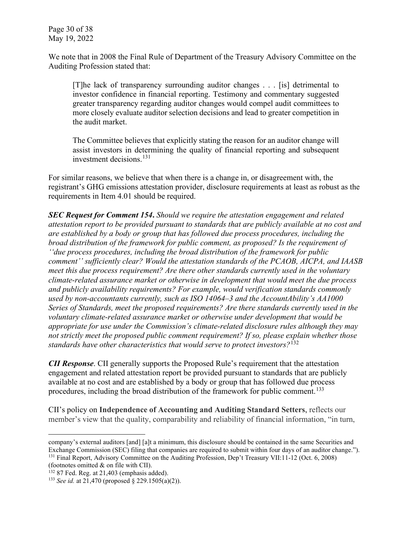We note that in 2008 the Final Rule of Department of the Treasury Advisory Committee on the Auditing Profession stated that:

[T]he lack of transparency surrounding auditor changes . . . [is] detrimental to investor confidence in financial reporting. Testimony and commentary suggested greater transparency regarding auditor changes would compel audit committees to more closely evaluate auditor selection decisions and lead to greater competition in the audit market.

The Committee believes that explicitly stating the reason for an auditor change will assist investors in determining the quality of financial reporting and subsequent investment decisions.[131](#page-29-0)

For similar reasons, we believe that when there is a change in, or disagreement with, the registrant's GHG emissions attestation provider, disclosure requirements at least as robust as the requirements in Item 4.01 should be required.

*SEC Request for Comment 154***.** *Should we require the attestation engagement and related attestation report to be provided pursuant to standards that are publicly available at no cost and are established by a body or group that has followed due process procedures, including the broad distribution of the framework for public comment, as proposed? Is the requirement of ''due process procedures, including the broad distribution of the framework for public comment'' sufficiently clear? Would the attestation standards of the PCAOB, AICPA, and IAASB meet this due process requirement? Are there other standards currently used in the voluntary climate-related assurance market or otherwise in development that would meet the due process and publicly availability requirements? For example, would verification standards commonly used by non-accountants currently, such as ISO 14064–3 and the AccountAbility's AA1000 Series of Standards, meet the proposed requirements? Are there standards currently used in the voluntary climate-related assurance market or otherwise under development that would be appropriate for use under the Commission's climate-related disclosure rules although they may not strictly meet the proposed public comment requirement? If so, please explain whether those standards have other characteristics that would serve to protect investors?*[132](#page-29-1)

*CII Response*. CII generally supports the Proposed Rule's requirement that the attestation engagement and related attestation report be provided pursuant to standards that are publicly available at no cost and are established by a body or group that has followed due process procedures, including the broad distribution of the framework for public comment.<sup>[133](#page-29-2)</sup>

CII's policy on **Independence of Accounting and Auditing Standard Setters**, reflects our member's view that the quality, comparability and reliability of financial information, "in turn,

<span id="page-29-0"></span>company's external auditors [and] [a]t a minimum, this disclosure should be contained in the same Securities and Exchange Commission (SEC) filing that companies are required to submit within four days of an auditor change."). <sup>131</sup> Final Report, Advisory Committee on the Auditing Profession, Dep't Treasury VII:11-12 (Oct. 6, 2008) (footnotes omitted & on file with CII).

<span id="page-29-1"></span> $132$  87 Fed. Reg. at 21,403 (emphasis added).

<span id="page-29-2"></span><sup>133</sup> *See id.* at 21,470 (proposed § 229.1505(a)(2)).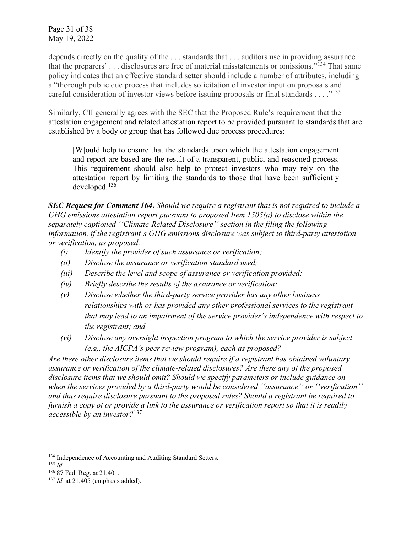Page 31 of 38 May 19, 2022

depends directly on the quality of the ... standards that ... auditors use in providing assurance that the preparers' . . . disclosures are free of material misstatements or omissions."[134](#page-30-0) That same policy indicates that an effective standard setter should include a number of attributes, including a "thorough public due process that includes solicitation of investor input on proposals and careful consideration of investor views before issuing proposals or final standards . . . ."[135](#page-30-1)

Similarly, CII generally agrees with the SEC that the Proposed Rule's requirement that the attestation engagement and related attestation report to be provided pursuant to standards that are established by a body or group that has followed due process procedures:

[W]ould help to ensure that the standards upon which the attestation engagement and report are based are the result of a transparent, public, and reasoned process. This requirement should also help to protect investors who may rely on the attestation report by limiting the standards to those that have been sufficiently developed.[136](#page-30-2)

*SEC Request for Comment 164***.** *Should we require a registrant that is not required to include a GHG emissions attestation report pursuant to proposed Item 1505(a) to disclose within the separately captioned ''Climate-Related Disclosure'' section in the filing the following information, if the registrant's GHG emissions disclosure was subject to third-party attestation or verification, as proposed:* 

- *(i) Identify the provider of such assurance or verification;*
- *(ii) Disclose the assurance or verification standard used;*
- *(iii) Describe the level and scope of assurance or verification provided;*
- *(iv) Briefly describe the results of the assurance or verification;*
- *(v) Disclose whether the third-party service provider has any other business relationships with or has provided any other professional services to the registrant that may lead to an impairment of the service provider's independence with respect to the registrant; and*
- *(vi) Disclose any oversight inspection program to which the service provider is subject (e.g., the AICPA's peer review program), each as proposed?*

*Are there other disclosure items that we should require if a registrant has obtained voluntary assurance or verification of the climate-related disclosures? Are there any of the proposed disclosure items that we should omit? Should we specify parameters or include guidance on when the services provided by a third-party would be considered ''assurance'' or ''verification'' and thus require disclosure pursuant to the proposed rules? Should a registrant be required to furnish a copy of or provide a link to the assurance or verification report so that it is readily accessible by an investor?*[137](#page-30-3)

<span id="page-30-0"></span><sup>&</sup>lt;sup>134</sup> Independence of Accounting and Auditing Standard Setters.

<span id="page-30-1"></span> $135$  *Id.* 

<span id="page-30-2"></span><sup>136</sup> 87 Fed. Reg. at 21,401.

<span id="page-30-3"></span><sup>&</sup>lt;sup>137</sup> *Id.* at 21,405 (emphasis added).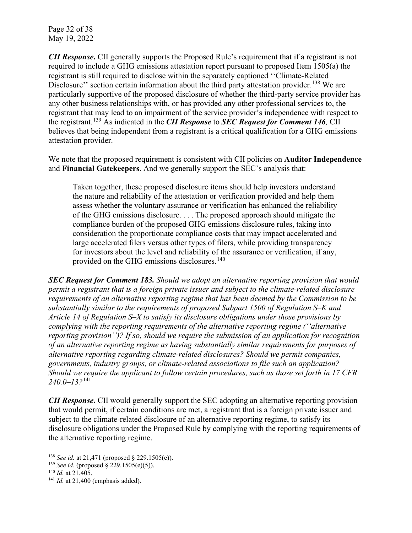Page 32 of 38 May 19, 2022

*CII Response***.** CII generally supports the Proposed Rule's requirement that if a registrant is not required to include a GHG emissions attestation report pursuant to proposed Item 1505(a) the registrant is still required to disclose within the separately captioned ''Climate-Related Disclosure'' section certain information about the third party attestation provider*.* [138](#page-31-0) We are particularly supportive of the proposed disclosure of whether the third-party service provider has any other business relationships with, or has provided any other professional services to, the registrant that may lead to an impairment of the service provider's independence with respect to the registrant*.* [139](#page-31-1) As indicated in the *CII Response* to *SEC Request for Comment 146,* CII believes that being independent from a registrant is a critical qualification for a GHG emissions attestation provider.

We note that the proposed requirement is consistent with CII policies on **Auditor Independence** and **Financial Gatekeepers**. And we generally support the SEC's analysis that:

Taken together, these proposed disclosure items should help investors understand the nature and reliability of the attestation or verification provided and help them assess whether the voluntary assurance or verification has enhanced the reliability of the GHG emissions disclosure. . . . The proposed approach should mitigate the compliance burden of the proposed GHG emissions disclosure rules, taking into consideration the proportionate compliance costs that may impact accelerated and large accelerated filers versus other types of filers, while providing transparency for investors about the level and reliability of the assurance or verification, if any, provided on the GHG emissions disclosures.<sup>[140](#page-31-2)</sup>

*SEC Request for Comment 183. Should we adopt an alternative reporting provision that would permit a registrant that is a foreign private issuer and subject to the climate-related disclosure requirements of an alternative reporting regime that has been deemed by the Commission to be substantially similar to the requirements of proposed Subpart 1500 of Regulation S–K and Article 14 of Regulation S–X to satisfy its disclosure obligations under those provisions by complying with the reporting requirements of the alternative reporting regime (''alternative reporting provision'')? If so, should we require the submission of an application for recognition of an alternative reporting regime as having substantially similar requirements for purposes of alternative reporting regarding climate-related disclosures? Should we permit companies, governments, industry groups, or climate-related associations to file such an application? Should we require the applicant to follow certain procedures, such as those set forth in 17 CFR 240.0–13?*[141](#page-31-3)

*CII Response*. CII would generally support the SEC adopting an alternative reporting provision that would permit, if certain conditions are met, a registrant that is a foreign private issuer and subject to the climate-related disclosure of an alternative reporting regime, to satisfy its disclosure obligations under the Proposed Rule by complying with the reporting requirements of the alternative reporting regime.

<span id="page-31-0"></span><sup>138</sup> *See id.* at 21,471 (proposed § 229.1505(e)).

<span id="page-31-1"></span><sup>&</sup>lt;sup>139</sup> *See id.* (proposed  $\bar{\S}$  229.1505(e)(5)).

<span id="page-31-2"></span><sup>140</sup> *Id.* at 21,405.

<span id="page-31-3"></span><sup>&</sup>lt;sup>141</sup> *Id.* at 21,400 (emphasis added).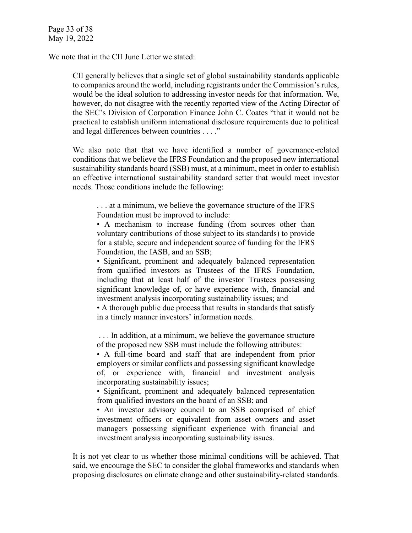We note that in the CII June Letter we stated:

CII generally believes that a single set of global sustainability standards applicable to companies around the world, including registrants under the Commission's rules, would be the ideal solution to addressing investor needs for that information. We, however, do not disagree with the recently reported view of the Acting Director of the SEC's Division of Corporation Finance John C. Coates "that it would not be practical to establish uniform international disclosure requirements due to political and legal differences between countries . . . ."

We also note that that we have identified a number of governance-related conditions that we believe the IFRS Foundation and the proposed new international sustainability standards board (SSB) must, at a minimum, meet in order to establish an effective international sustainability standard setter that would meet investor needs. Those conditions include the following:

. . . at a minimum, we believe the governance structure of the IFRS Foundation must be improved to include:

• A mechanism to increase funding (from sources other than voluntary contributions of those subject to its standards) to provide for a stable, secure and independent source of funding for the IFRS Foundation, the IASB, and an SSB;

• Significant, prominent and adequately balanced representation from qualified investors as Trustees of the IFRS Foundation, including that at least half of the investor Trustees possessing significant knowledge of, or have experience with, financial and investment analysis incorporating sustainability issues; and

• A thorough public due process that results in standards that satisfy in a timely manner investors' information needs.

. . . In addition, at a minimum, we believe the governance structure of the proposed new SSB must include the following attributes:

• A full-time board and staff that are independent from prior employers or similar conflicts and possessing significant knowledge of, or experience with, financial and investment analysis incorporating sustainability issues;

• Significant, prominent and adequately balanced representation from qualified investors on the board of an SSB; and

• An investor advisory council to an SSB comprised of chief investment officers or equivalent from asset owners and asset managers possessing significant experience with financial and investment analysis incorporating sustainability issues.

It is not yet clear to us whether those minimal conditions will be achieved. That said, we encourage the SEC to consider the global frameworks and standards when proposing disclosures on climate change and other sustainability-related standards.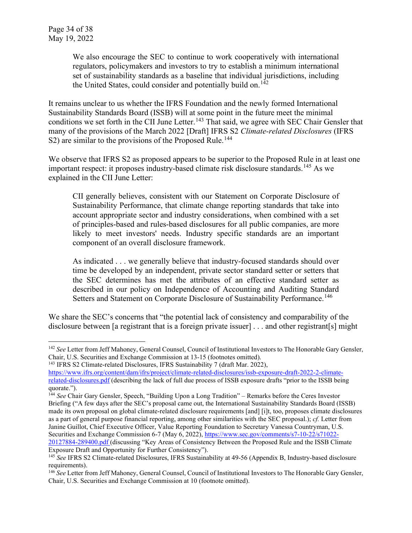We also encourage the SEC to continue to work cooperatively with international regulators, policymakers and investors to try to establish a minimum international set of sustainability standards as a baseline that individual jurisdictions, including the United States, could consider and potentially build on.<sup>[142](#page-33-0)</sup>

It remains unclear to us whether the IFRS Foundation and the newly formed International Sustainability Standards Board (ISSB) will at some point in the future meet the minimal conditions we set forth in the CII June Letter.<sup>[143](#page-33-1)</sup> That said, we agree with SEC Chair Gensler that many of the provisions of the March 2022 [Draft] IFRS S2 *Climate-related Disclosures* (IFRS S2) are similar to the provisions of the Proposed Rule.<sup>[144](#page-33-2)</sup>

We observe that IFRS S2 as proposed appears to be superior to the Proposed Rule in at least one important respect: it proposes industry-based climate risk disclosure standards.<sup>[145](#page-33-3)</sup> As we explained in the CII June Letter:

CII generally believes, consistent with our Statement on Corporate Disclosure of Sustainability Performance, that climate change reporting standards that take into account appropriate sector and industry considerations, when combined with a set of principles-based and rules-based disclosures for all public companies, are more likely to meet investors' needs. Industry specific standards are an important component of an overall disclosure framework.

As indicated . . . we generally believe that industry-focused standards should over time be developed by an independent, private sector standard setter or setters that the SEC determines has met the attributes of an effective standard setter as described in our policy on Independence of Accounting and Auditing Standard Setters and Statement on Corporate Disclosure of Sustainability Performance.<sup>[146](#page-33-4)</sup>

We share the SEC's concerns that "the potential lack of consistency and comparability of the disclosure between [a registrant that is a foreign private issuer] . . . and other registrant[s] might

Exposure Draft and Opportunity for Further Consistency").

<span id="page-33-0"></span><sup>142</sup> *See* Letter from Jeff Mahoney, General Counsel, Council of Institutional Investors to The Honorable Gary Gensler, Chair, U.S. Securities and Exchange Commission at 13-15 (footnotes omitted). 143 IFRS S2 Climate-related Disclosures, IFRS Sustainability 7 (draft Mar. 2022),

<span id="page-33-1"></span>[https://www.ifrs.org/content/dam/ifrs/project/climate-related-disclosures/issb-exposure-draft-2022-2-climate](https://www.ifrs.org/content/dam/ifrs/project/climate-related-disclosures/issb-exposure-draft-2022-2-climate-related-disclosures.pdf)[related-disclosures.pdf](https://www.ifrs.org/content/dam/ifrs/project/climate-related-disclosures/issb-exposure-draft-2022-2-climate-related-disclosures.pdf) (describing the lack of full due process of ISSB exposure drafts "prior to the ISSB being quorate.").

<span id="page-33-2"></span><sup>144</sup> *See* Chair Gary Gensler, Speech, "Building Upon a Long Tradition" – Remarks before the Ceres Investor Briefing ("A few days after the SEC's proposal came out, the International Sustainability Standards Board (ISSB) made its own proposal on global climate-related disclosure requirements [and] [i]t, too, proposes climate disclosures as a part of general purpose financial reporting, among other similarities with the SEC proposal.); *cf.* Letter from Janine Guillot, Chief Executive Officer, Value Reporting Foundation to Secretary Vanessa Countryman, U.S. Securities and Exchange Commission 6-7 (May 6, 2022), [https://www.sec.gov/comments/s7-10-22/s71022-](https://www.sec.gov/comments/s7-10-22/s71022-20127884-289400.pdf) [20127884-289400.pdf](https://www.sec.gov/comments/s7-10-22/s71022-20127884-289400.pdf) (discussing "Key Areas of Consistency Between the Proposed Rule and the ISSB Climate

<span id="page-33-3"></span><sup>145</sup> *See* IFRS S2 Climate-related Disclosures, IFRS Sustainability at 49-56 (Appendix B, Industry-based disclosure requirements).

<span id="page-33-4"></span><sup>146</sup> *See* Letter from Jeff Mahoney, General Counsel, Council of Institutional Investors to The Honorable Gary Gensler, Chair, U.S. Securities and Exchange Commission at 10 (footnote omitted).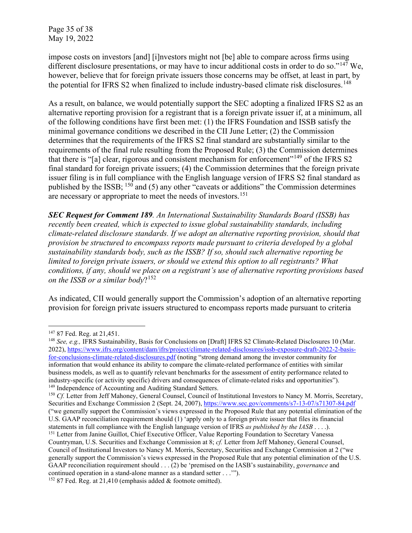impose costs on investors [and] [i]nvestors might not [be] able to compare across firms using different disclosure presentations, or may have to incur additional costs in order to do so." $147$  We, however, believe that for foreign private issuers those concerns may be offset, at least in part, by the potential for IFRS S2 when finalized to include industry-based climate risk disclosures.<sup>[148](#page-34-1)</sup>

As a result, on balance, we would potentially support the SEC adopting a finalized IFRS S2 as an alternative reporting provision for a registrant that is a foreign private issuer if, at a minimum, all of the following conditions have first been met: (1) the IFRS Foundation and ISSB satisfy the minimal governance conditions we described in the CII June Letter; (2) the Commission determines that the requirements of the IFRS S2 final standard are substantially similar to the requirements of the final rule resulting from the Proposed Rule; (3) the Commission determines that there is "[a] clear, rigorous and consistent mechanism for enforcement"<sup>[149](#page-34-2)</sup> of the IFRS S2 final standard for foreign private issuers; (4) the Commission determines that the foreign private issuer filing is in full compliance with the English language version of IFRS S2 final standard as published by the ISSB;  $150$  and (5) any other "caveats or additions" the Commission determines are necessary or appropriate to meet the needs of investors.<sup>151</sup>

*SEC Request for Comment 189. An International Sustainability Standards Board (ISSB) has recently been created, which is expected to issue global sustainability standards, including climate-related disclosure standards. If we adopt an alternative reporting provision, should that provision be structured to encompass reports made pursuant to criteria developed by a global sustainability standards body, such as the ISSB? If so, should such alternative reporting be limited to foreign private issuers, or should we extend this option to all registrants? What conditions, if any, should we place on a registrant's use of alternative reporting provisions based on the ISSB or a similar body*?[152](#page-34-5)

As indicated, CII would generally support the Commission's adoption of an alternative reporting provision for foreign private issuers structured to encompass reports made pursuant to criteria

<sup>147</sup> 87 Fed. Reg. at 21,451.

<span id="page-34-1"></span><span id="page-34-0"></span><sup>&</sup>lt;sup>148</sup> *See, e.g.,* IFRS Sustainability, Basis for Conclusions on [Draft] IFRS S2 Climate-Related Disclosures 10 (Mar. 2022), [https://www.ifrs.org/content/dam/ifrs/project/climate-related-disclosures/issb-exposure-draft-2022-2-basis](https://www.ifrs.org/content/dam/ifrs/project/climate-related-disclosures/issb-exposure-draft-2022-2-basis-for-conclusions-climate-related-disclosures.pdf)[for-conclusions-climate-related-disclosures.pdf](https://www.ifrs.org/content/dam/ifrs/project/climate-related-disclosures/issb-exposure-draft-2022-2-basis-for-conclusions-climate-related-disclosures.pdf) (noting "strong demand among the investor community for information that would enhance its ability to compare the climate-related performance of entities with similar business models, as well as to quantify relevant benchmarks for the assessment of entity performance related to industry-specific (or activity specific) drivers and consequences of climate-related risks and opportunities"). <sup>149</sup> Independence of Accounting and Auditing Standard Setters.

<span id="page-34-3"></span><span id="page-34-2"></span><sup>&</sup>lt;sup>150</sup> *Cf.* Letter from Jeff Mahoney, General Counsel, Council of Institutional Investors to Nancy M. Morris, Secretary, Securities and Exchange Commission 2 (Sept. 24, 2007),<https://www.sec.gov/comments/s7-13-07/s71307-84.pdf> ("we generally support the Commission's views expressed in the Proposed Rule that any potential elimination of the U.S. GAAP reconciliation requirement should (1) 'apply only to a foreign private issuer that files its financial

<span id="page-34-5"></span><span id="page-34-4"></span>statements in full compliance with the English language version of IFRS *as published by the IASB* . . . .). 151 Letter from Janine Guillot, Chief Executive Officer, Value Reporting Foundation to Secretary Vanessa Countryman, U.S. Securities and Exchange Commission at 8; *cf.* Letter from Jeff Mahoney, General Counsel, Council of Institutional Investors to Nancy M. Morris, Secretary, Securities and Exchange Commission at 2 ("we generally support the Commission's views expressed in the Proposed Rule that any potential elimination of the U.S. GAAP reconciliation requirement should . . . (2) be 'premised on the IASB's sustainability, *governance* and continued operation in a stand-alone manner as a standard setter . . .'"). <sup>152</sup> 87 Fed. Reg. at 21,410 (emphasis added & footnote omitted).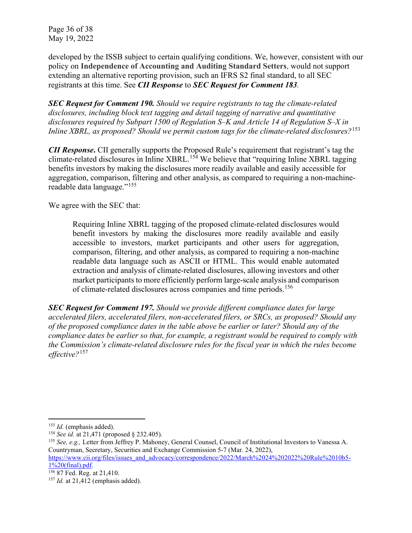Page 36 of 38 May 19, 2022

developed by the ISSB subject to certain qualifying conditions. We, however, consistent with our policy on **Independence of Accounting and Auditing Standard Setters**, would not support extending an alternative reporting provision, such an IFRS S2 final standard, to all SEC registrants at this time. See *CII Response* to *SEC Request for Comment 183.*

*SEC Request for Comment 190. Should we require registrants to tag the climate-related disclosures, including block text tagging and detail tagging of narrative and quantitative disclosures required by Subpart 1500 of Regulation S–K and Article 14 of Regulation S–X in Inline XBRL, as proposed? Should we permit custom tags for the climate-related disclosures?*[153](#page-35-0)

*CII Response*. CII generally supports the Proposed Rule's requirement that registrant's tag the climate-related disclosures in Inline XBRL.[154](#page-35-1) We believe that "requiring Inline XBRL tagging benefits investors by making the disclosures more readily available and easily accessible for aggregation, comparison, filtering and other analysis, as compared to requiring a non-machinereadable data language."[155](#page-35-2)

We agree with the SEC that:

Requiring Inline XBRL tagging of the proposed climate-related disclosures would benefit investors by making the disclosures more readily available and easily accessible to investors, market participants and other users for aggregation, comparison, filtering, and other analysis, as compared to requiring a non-machine readable data language such as ASCII or HTML. This would enable automated extraction and analysis of climate-related disclosures, allowing investors and other market participants to more efficiently perform large-scale analysis and comparison of climate-related disclosures across companies and time periods.<sup>[156](#page-35-3)</sup>

*SEC Request for Comment 197. Should we provide different compliance dates for large accelerated filers, accelerated filers, non-accelerated filers, or SRCs, as proposed? Should any of the proposed compliance dates in the table above be earlier or later? Should any of the compliance dates be earlier so that, for example, a registrant would be required to comply with the Commission's climate-related disclosure rules for the fiscal year in which the rules become effective?*[157](#page-35-4)

<span id="page-35-2"></span>

<span id="page-35-1"></span><span id="page-35-0"></span><sup>&</sup>lt;sup>153</sup> *Id.* (emphasis added).<br><sup>154</sup> *See id.* at 21,471 (proposed § 232.405).<br><sup>155</sup> *See, e.g.*, Letter from Jeffrey P. Mahoney, General Counsel, Council of Institutional Investors to Vanessa A. Countryman, Secretary, Securities and Exchange Commission 5-7 (Mar. 24, 2022), [https://www.cii.org/files/issues\\_and\\_advocacy/correspondence/2022/March%2024%202022%20Rule%2010b5-](https://www.cii.org/files/issues_and_advocacy/correspondence/2022/March%2024%202022%20Rule%2010b5-1%20(final).pdf)

 $\frac{1\%20(\text{final}).\text{pdf}}{156\ 87\ \text{Fed. Reg. at } 21,410.}$ 

<span id="page-35-4"></span><span id="page-35-3"></span> $157$  *Id.* at 21,412 (emphasis added).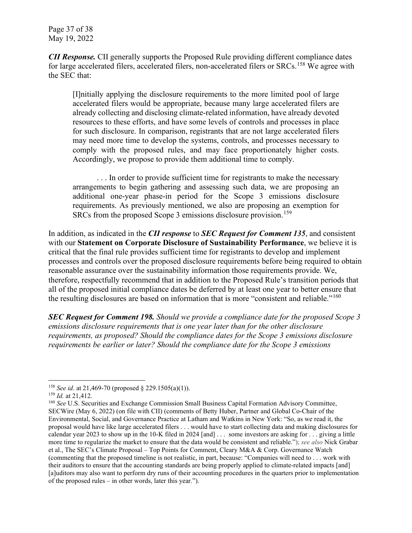Page 37 of 38 May 19, 2022

*CII Response.* CII generally supports the Proposed Rule providing different compliance dates for large accelerated filers, accelerated filers, non-accelerated filers or SRCs.<sup>[158](#page-36-0)</sup> We agree with the SEC that:

[I]nitially applying the disclosure requirements to the more limited pool of large accelerated filers would be appropriate, because many large accelerated filers are already collecting and disclosing climate-related information, have already devoted resources to these efforts, and have some levels of controls and processes in place for such disclosure. In comparison, registrants that are not large accelerated filers may need more time to develop the systems, controls, and processes necessary to comply with the proposed rules, and may face proportionately higher costs. Accordingly, we propose to provide them additional time to comply.

... In order to provide sufficient time for registrants to make the necessary arrangements to begin gathering and assessing such data, we are proposing an additional one-year phase-in period for the Scope 3 emissions disclosure requirements. As previously mentioned, we also are proposing an exemption for SRCs from the proposed Scope 3 emissions disclosure provision.<sup>[159](#page-36-1)</sup>

In addition, as indicated in the *CII response* to *SEC Request for Comment 135*, and consistent with our **Statement on Corporate Disclosure of Sustainability Performance**, we believe it is critical that the final rule provides sufficient time for registrants to develop and implement processes and controls over the proposed disclosure requirements before being required to obtain reasonable assurance over the sustainability information those requirements provide. We, therefore, respectfully recommend that in addition to the Proposed Rule's transition periods that all of the proposed initial compliance dates be deferred by at least one year to better ensure that the resulting disclosures are based on information that is more "consistent and reliable."<sup>[160](#page-36-2)</sup>

*SEC Request for Comment 198. Should we provide a compliance date for the proposed Scope 3 emissions disclosure requirements that is one year later than for the other disclosure requirements, as proposed? Should the compliance dates for the Scope 3 emissions disclosure requirements be earlier or later? Should the compliance date for the Scope 3 emissions* 

<span id="page-36-1"></span><span id="page-36-0"></span><sup>&</sup>lt;sup>158</sup> *See id.* at 21,469-70 (proposed § 229.1505(a)(1)).<br><sup>159</sup> *Id.* at 21,412.

<span id="page-36-2"></span><sup>&</sup>lt;sup>160</sup> *See* U.S. Securities and Exchange Commission Small Business Capital Formation Advisory Committee, SECWire (May 6, 2022) (on file with CII) (comments of Betty Huber, Partner and Global Co-Chair of the Environmental, Social, and Governance Practice at Latham and Watkins in New York: "So, as we read it, the proposal would have like large accelerated filers . . . would have to start collecting data and making disclosures for calendar year 2023 to show up in the 10-K filed in 2024 [and] . . . some investors are asking for . . . giving a little more time to regularize the market to ensure that the data would be consistent and reliable."); *see also* Nick Grabar et al., The SEC's Climate Proposal – Top Points for Comment, Cleary M&A & Corp. Governance Watch (commenting that the proposed timeline is not realistic, in part, because: "Companies will need to . . . work with their auditors to ensure that the accounting standards are being properly applied to climate-related impacts [and] [a]uditors may also want to perform dry runs of their accounting procedures in the quarters prior to implementation of the proposed rules – in other words, later this year.").